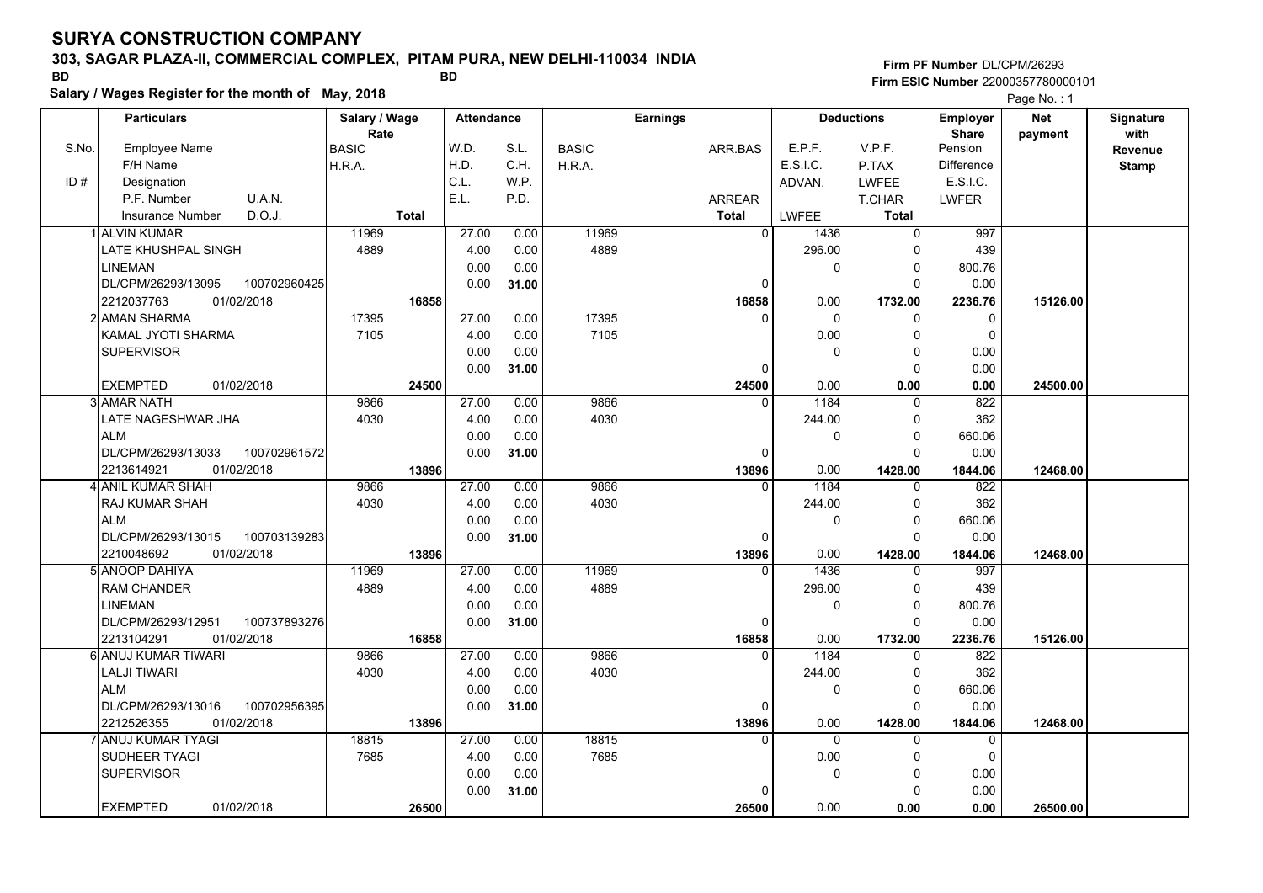### **303, SAGAR PLAZA-II, COMMERCIAL COMPLEX, PITAM PURA, NEW DELHI-110034 INDIA**

**Salary / Wages Register for the month of May, 2018 BD BD**

### **Firm PF Number**DL/CPM/26293**Firm ESIC Number** 22000357780000101

|       | <b>Particulars</b>                 | Salary / Wage        | <b>Attendance</b> |       |              | <b>Earnings</b> |              | <b>Deductions</b> | Employer                | Net      | Signature       |
|-------|------------------------------------|----------------------|-------------------|-------|--------------|-----------------|--------------|-------------------|-------------------------|----------|-----------------|
| S.No. | Employee Name                      | Rate<br><b>BASIC</b> | W.D.              | S.L.  | <b>BASIC</b> | ARR.BAS         | E.P.F.       | V.P.F.            | <b>Share</b><br>Pension | payment  | with<br>Revenue |
|       | F/H Name                           | H.R.A.               | H.D.              | C.H.  | H.R.A.       |                 | E.S.I.C.     | P.TAX             | <b>Difference</b>       |          | <b>Stamp</b>    |
| ID#   | Designation                        |                      | C.L.              | W.P.  |              |                 | ADVAN.       | LWFEE             | E.S.I.C.                |          |                 |
|       | U.A.N.<br>P.F. Number              |                      | E.L.              | P.D.  |              | ARREAR          |              | T.CHAR            | <b>LWFER</b>            |          |                 |
|       | D.O.J.<br>Insurance Number         | <b>Total</b>         |                   |       |              | <b>Total</b>    | <b>LWFEE</b> | <b>Total</b>      |                         |          |                 |
|       | <b>ALVIN KUMAR</b>                 | 11969                | 27.00             | 0.00  | 11969        | $\overline{0}$  | 1436         | $\mathbf 0$       | 997                     |          |                 |
|       | LATE KHUSHPAL SINGH                | 4889                 | 4.00              | 0.00  | 4889         |                 | 296.00       | $\Omega$          | 439                     |          |                 |
|       | <b>LINEMAN</b>                     |                      | 0.00              | 0.00  |              |                 | 0            | $\Omega$          | 800.76                  |          |                 |
|       | DL/CPM/26293/13095<br>100702960425 |                      | 0.00              | 31.00 |              | 0               |              | $\Omega$          | 0.00                    |          |                 |
|       | 2212037763<br>01/02/2018           | 16858                |                   |       |              | 16858           | 0.00         | 1732.00           | 2236.76                 | 15126.00 |                 |
|       | 2 AMAN SHARMA                      | 17395                | 27.00             | 0.00  | 17395        | $\Omega$        | $\Omega$     | $\Omega$          | $\Omega$                |          |                 |
|       | KAMAL JYOTI SHARMA                 | 7105                 | 4.00              | 0.00  | 7105         |                 | 0.00         | $\Omega$          | $\mathbf 0$             |          |                 |
|       | <b>SUPERVISOR</b>                  |                      | 0.00              | 0.00  |              |                 | 0            | $\Omega$          | 0.00                    |          |                 |
|       |                                    |                      | 0.00              | 31.00 |              | 0               |              | 0                 | 0.00                    |          |                 |
|       | <b>EXEMPTED</b><br>01/02/2018      | 24500                |                   |       |              | 24500           | 0.00         | 0.00              | 0.00                    | 24500.00 |                 |
|       | 3 AMAR NATH                        | 9866                 | 27.00             | 0.00  | 9866         | $\Omega$        | 1184         | $\Omega$          | 822                     |          |                 |
|       | LATE NAGESHWAR JHA                 | 4030                 | 4.00              | 0.00  | 4030         |                 | 244.00       | $\Omega$          | 362                     |          |                 |
|       | <b>ALM</b>                         |                      | 0.00              | 0.00  |              |                 | 0            | $\mathbf 0$       | 660.06                  |          |                 |
|       | DL/CPM/26293/13033<br>100702961572 |                      | 0.00              | 31.00 |              | $\Omega$        |              | $\Omega$          | 0.00                    |          |                 |
|       | 01/02/2018<br>2213614921           | 13896                |                   |       |              | 13896           | 0.00         | 1428.00           | 1844.06                 | 12468.00 |                 |
|       | 4 ANIL KUMAR SHAH                  | 9866                 | 27.00             | 0.00  | 9866         | $\Omega$        | 1184         | $\mathbf 0$       | 822                     |          |                 |
|       | RAJ KUMAR SHAH                     | 4030                 | 4.00              | 0.00  | 4030         |                 | 244.00       | 0                 | 362                     |          |                 |
|       | ALM                                |                      | 0.00              | 0.00  |              |                 | 0            | $\Omega$          | 660.06                  |          |                 |
|       | DL/CPM/26293/13015<br>100703139283 |                      | 0.00              | 31.00 |              | $\Omega$        |              | $\Omega$          | 0.00                    |          |                 |
|       | 2210048692<br>01/02/2018           | 13896                |                   |       |              | 13896           | 0.00         | 1428.00           | 1844.06                 | 12468.00 |                 |
|       | 5 ANOOP DAHIYA                     | 11969                | 27.00             | 0.00  | 11969        | $\Omega$        | 1436         | 0                 | 997                     |          |                 |
|       | <b>RAM CHANDER</b>                 | 4889                 | 4.00              | 0.00  | 4889         |                 | 296.00       | 0                 | 439                     |          |                 |
|       | <b>LINEMAN</b>                     |                      | 0.00              | 0.00  |              |                 | 0            | $\mathbf 0$       | 800.76                  |          |                 |
|       | 100737893276<br>DL/CPM/26293/12951 |                      | 0.00              | 31.00 |              | 0               |              | $\Omega$          | 0.00                    |          |                 |
|       | 2213104291<br>01/02/2018           | 16858                |                   |       |              | 16858           | 0.00         | 1732.00           | 2236.76                 | 15126.00 |                 |
|       | 6 ANUJ KUMAR TIWARI                | 9866                 | 27.00             | 0.00  | 9866         | $\Omega$        | 1184         | $\Omega$          | 822                     |          |                 |
|       | <b>LALJI TIWARI</b>                | 4030                 | 4.00              | 0.00  | 4030         |                 | 244.00       | $\Omega$          | 362                     |          |                 |
|       | ALM                                |                      | 0.00              | 0.00  |              |                 | 0            | $\Omega$          | 660.06                  |          |                 |
|       | DL/CPM/26293/13016<br>100702956395 |                      | 0.00              | 31.00 |              | 0               |              | $\Omega$          | 0.00                    |          |                 |
|       | 01/02/2018<br>2212526355           | 13896                |                   |       |              | 13896           | 0.00         | 1428.00           | 1844.06                 | 12468.00 |                 |
|       | 7 ANUJ KUMAR TYAGI                 | 18815                | 27.00             | 0.00  | 18815        | $\Omega$        | 0            | $\Omega$          | 0                       |          |                 |
|       | <b>SUDHEER TYAGI</b>               | 7685                 | 4.00              | 0.00  | 7685         |                 | 0.00         | $\Omega$          | $\mathbf 0$             |          |                 |
|       | <b>SUPERVISOR</b>                  |                      | 0.00              | 0.00  |              |                 | 0            | $\Omega$          | 0.00                    |          |                 |
|       |                                    |                      | 0.00              | 31.00 |              | $\Omega$        |              | $\Omega$          | 0.00                    |          |                 |
|       | <b>EXEMPTED</b><br>01/02/2018      | 26500                |                   |       |              | 26500           | 0.00         | 0.00              | 0.00                    | 26500.00 |                 |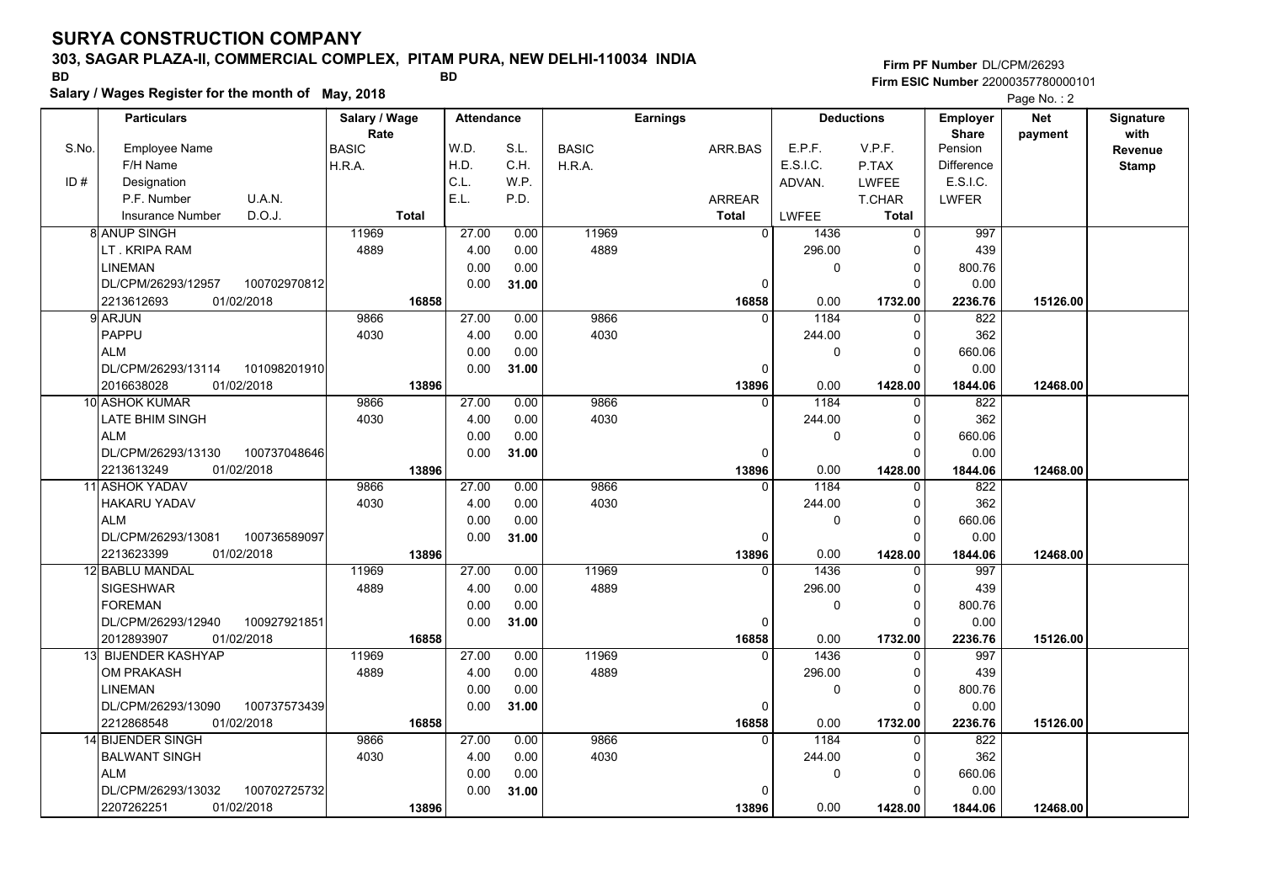### **303, SAGAR PLAZA-II, COMMERCIAL COMPLEX, PITAM PURA, NEW DELHI-110034 INDIA**

**Firm PF Number**DL/CPM/26293**Firm ESIC Number** 22000357780000101

**Salary / Wages Register for the month of May, 2018 BD BD**

|       | Salary / Wages Register for the month of May, 2018 |               |              |                   |       |              |                 |              |              |                   |                   | Page No.: 2 |                  |
|-------|----------------------------------------------------|---------------|--------------|-------------------|-------|--------------|-----------------|--------------|--------------|-------------------|-------------------|-------------|------------------|
|       | <b>Particulars</b>                                 | Salary / Wage |              | <b>Attendance</b> |       |              | <b>Earnings</b> |              |              | <b>Deductions</b> | Employer          | <b>Net</b>  | <b>Signature</b> |
|       |                                                    | Rate          |              |                   |       |              |                 |              |              |                   | <b>Share</b>      | payment     | with             |
| S.No. | <b>Employee Name</b>                               | <b>BASIC</b>  |              | W.D.              | S.L.  | <b>BASIC</b> | ARR.BAS         |              | E.P.F.       | V.P.F.            | Pension           |             | Revenue          |
|       | F/H Name                                           | H.R.A.        |              | H.D.              | C.H.  | H.R.A.       |                 |              | E.S.I.C.     | P.TAX             | <b>Difference</b> |             | <b>Stamp</b>     |
| ID#   | Designation                                        |               |              | C.L.              | W.P.  |              |                 |              | ADVAN.       | <b>LWFEE</b>      | E.S.I.C.          |             |                  |
|       | P.F. Number<br>U.A.N.                              |               |              | E.L.              | P.D.  |              | <b>ARREAR</b>   |              |              | T.CHAR            | <b>LWFER</b>      |             |                  |
|       | D.O.J.<br><b>Insurance Number</b>                  |               | <b>Total</b> |                   |       |              | <b>Total</b>    |              | <b>LWFEE</b> | <b>Total</b>      |                   |             |                  |
|       | <b>8 ANUP SINGH</b>                                | 11969         |              | 27.00             | 0.00  | 11969        |                 | $\mathbf{0}$ | 1436         | 0                 | 997               |             |                  |
|       | LT. KRIPA RAM                                      | 4889          |              | 4.00              | 0.00  | 4889         |                 |              | 296.00       | $\Omega$          | 439               |             |                  |
|       | <b>LINEMAN</b>                                     |               |              | 0.00              | 0.00  |              |                 |              | $\Omega$     | $\mathbf 0$       | 800.76            |             |                  |
|       | DL/CPM/26293/12957<br>100702970812                 |               |              | 0.00              | 31.00 |              |                 | 0            |              | $\Omega$          | 0.00              |             |                  |
|       | 01/02/2018<br>2213612693                           |               | 16858        |                   |       |              |                 | 16858        | 0.00         | 1732.00           | 2236.76           | 15126.00    |                  |
|       | 9 ARJUN                                            | 9866          |              | 27.00             | 0.00  | 9866         |                 |              | 1184         | 0                 | 822               |             |                  |
|       | PAPPU                                              | 4030          |              | 4.00              | 0.00  | 4030         |                 |              | 244.00       | 0                 | 362               |             |                  |
|       | <b>ALM</b>                                         |               |              | 0.00              | 0.00  |              |                 |              | $\Omega$     | $\mathbf 0$       | 660.06            |             |                  |
|       | DL/CPM/26293/13114<br>101098201910                 |               |              | 0.00              | 31.00 |              |                 | $\Omega$     |              | $\Omega$          | 0.00              |             |                  |
|       | 2016638028<br>01/02/2018                           |               | 13896        |                   |       |              |                 | 13896        | 0.00         | 1428.00           | 1844.06           | 12468.00    |                  |
|       | 10 ASHOK KUMAR                                     | 9866          |              | 27.00             | 0.00  | 9866         |                 | $\Omega$     | 1184         | $\Omega$          | 822               |             |                  |
|       | LATE BHIM SINGH                                    | 4030          |              | 4.00              | 0.00  | 4030         |                 |              | 244.00       | $\pmb{0}$         | 362               |             |                  |
|       | <b>ALM</b>                                         |               |              | 0.00              | 0.00  |              |                 |              | $\Omega$     | $\mathbf 0$       | 660.06            |             |                  |
|       | 100737048646<br>DL/CPM/26293/13130                 |               |              | 0.00              | 31.00 |              |                 | 0            |              | $\Omega$          | 0.00              |             |                  |
|       | 2213613249<br>01/02/2018                           |               | 13896        |                   |       |              |                 | 13896        | 0.00         | 1428.00           | 1844.06           | 12468.00    |                  |
|       | <b>11 ASHOK YADAV</b>                              | 9866          |              | 27.00             | 0.00  | 9866         |                 | $\Omega$     | 1184         | $\Omega$          | $\overline{822}$  |             |                  |
|       | <b>HAKARU YADAV</b>                                | 4030          |              | 4.00              | 0.00  | 4030         |                 |              | 244.00       | 0                 | 362               |             |                  |
|       | <b>ALM</b>                                         |               |              | 0.00              | 0.00  |              |                 |              | 0            | $\pmb{0}$         | 660.06            |             |                  |
|       | DL/CPM/26293/13081<br>100736589097                 |               |              | 0.00              | 31.00 |              |                 | $\Omega$     |              | $\Omega$          | 0.00              |             |                  |
|       | 01/02/2018<br>2213623399                           |               | 13896        |                   |       |              |                 | 13896        | 0.00         | 1428.00           | 1844.06           | 12468.00    |                  |
|       | 12 BABLU MANDAL                                    | 11969         |              | 27.00             | 0.00  | 11969        |                 | $\Omega$     | 1436         | 0                 | 997               |             |                  |
|       | <b>SIGESHWAR</b>                                   | 4889          |              | 4.00              | 0.00  | 4889         |                 |              | 296.00       | $\pmb{0}$         | 439               |             |                  |
|       | <b>FOREMAN</b>                                     |               |              | 0.00              | 0.00  |              |                 |              | $\Omega$     | $\Omega$          | 800.76            |             |                  |
|       | DL/CPM/26293/12940<br>100927921851                 |               |              | 0.00              | 31.00 |              |                 | 0            |              | $\mathbf 0$       | 0.00              |             |                  |
|       | 2012893907<br>01/02/2018                           |               | 16858        |                   |       |              |                 | 16858        | 0.00         | 1732.00           | 2236.76           | 15126.00    |                  |
|       | 13 BIJENDER KASHYAP                                | 11969         |              | 27.00             | 0.00  | 11969        |                 | $\Omega$     | 1436         | $\mathbf 0$       | 997               |             |                  |
|       | <b>OM PRAKASH</b>                                  | 4889          |              | 4.00              | 0.00  | 4889         |                 |              | 296.00       | 0                 | 439               |             |                  |
|       | <b>LINEMAN</b>                                     |               |              | 0.00              | 0.00  |              |                 |              | $\Omega$     | $\pmb{0}$         | 800.76            |             |                  |
|       | DL/CPM/26293/13090<br>100737573439                 |               |              | 0.00              | 31.00 |              |                 | $\Omega$     |              | $\Omega$          | 0.00              |             |                  |
|       | 2212868548<br>01/02/2018                           |               | 16858        |                   |       |              |                 | 16858        | 0.00         | 1732.00           | 2236.76           | 15126.00    |                  |
|       | 14 BIJENDER SINGH                                  | 9866          |              | 27.00             | 0.00  | 9866         |                 | n            | 1184         | 0                 | 822               |             |                  |
|       | <b>BALWANT SINGH</b>                               | 4030          |              | 4.00              | 0.00  | 4030         |                 |              | 244.00       | $\mathbf 0$       | 362               |             |                  |
|       | <b>ALM</b>                                         |               |              | 0.00              | 0.00  |              |                 |              | $\Omega$     | $\mathbf 0$       | 660.06            |             |                  |
|       | DL/CPM/26293/13032<br>100702725732                 |               |              | 0.00              | 31.00 |              |                 | 0            |              | $\mathbf 0$       | 0.00              |             |                  |
|       | 2207262251<br>01/02/2018                           |               | 13896        |                   |       |              |                 | 13896        | 0.00         | 1428.00           | 1844.06           | 12468.00    |                  |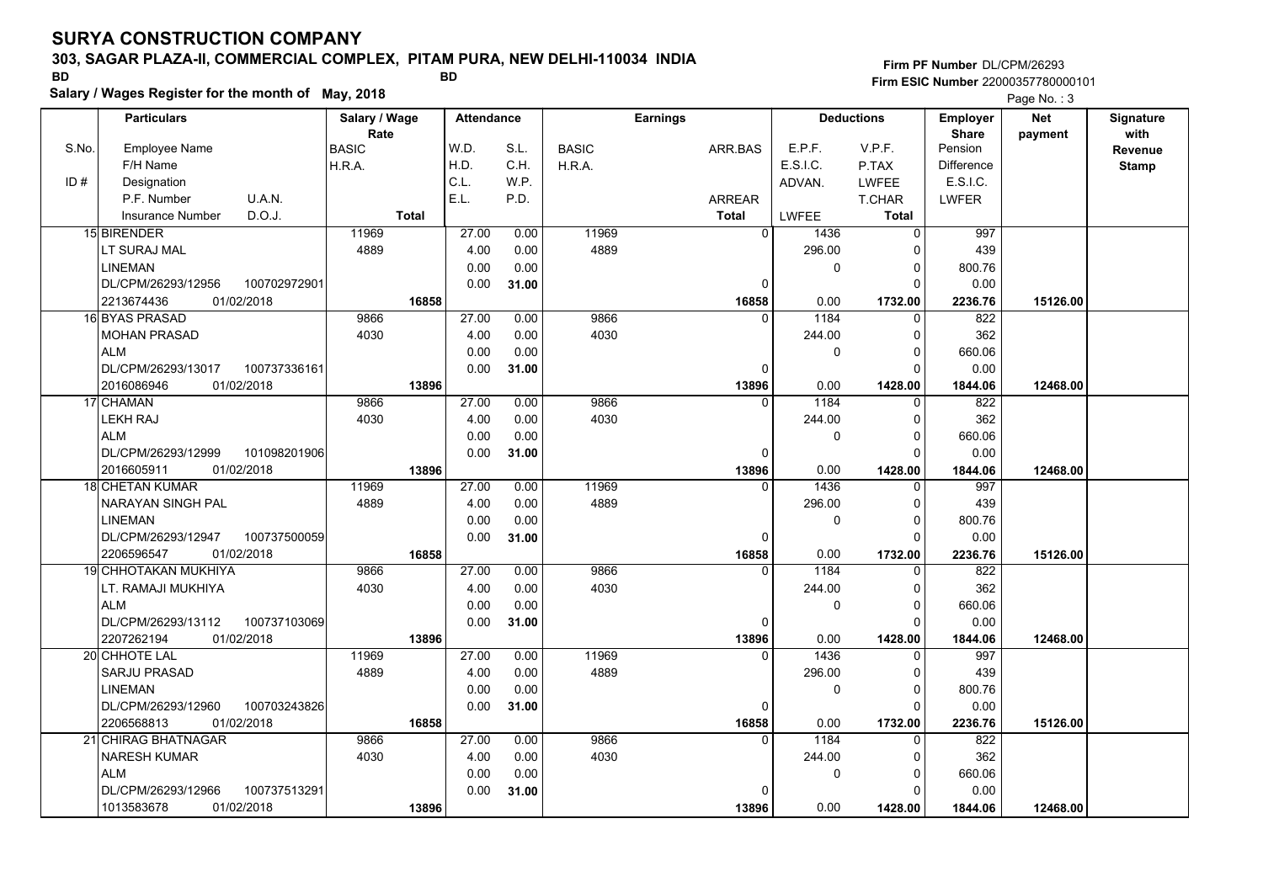### **303, SAGAR PLAZA-II, COMMERCIAL COMPLEX, PITAM PURA, NEW DELHI-110034 INDIA**

**Salary / Wages Register for the month of May, 2018 BD BD**

### **Firm PF Number**DL/CPM/26293**Firm ESIC Number** 22000357780000101

|       | <b>Particulars</b>                |              | Salary / Wage<br>Rate |              | <b>Attendance</b> |              |              | <b>Earnings</b> |                   |                | <b>Deductions</b>       | Employer<br><b>Share</b> | <b>Net</b> | Signature<br>with |
|-------|-----------------------------------|--------------|-----------------------|--------------|-------------------|--------------|--------------|-----------------|-------------------|----------------|-------------------------|--------------------------|------------|-------------------|
| S.No. | Employee Name                     |              | BASIC                 |              | W.D.              | S.L.         | <b>BASIC</b> | ARR BAS         |                   | E.P.F.         | V.P.F.                  | Pension                  | payment    | Revenue           |
|       | F/H Name                          |              | H.R.A.                |              | H.D.              | C.H.         | H.R.A.       |                 |                   | E.S.I.C.       | P.TAX                   | Difference               |            | <b>Stamp</b>      |
| ID#   | Designation                       |              |                       |              | C.L.              | W.P.         |              |                 |                   | ADVAN.         | <b>LWFEE</b>            | E.S.I.C.                 |            |                   |
|       | P.F. Number                       | U.A.N.       |                       |              | E.L.              | P.D.         |              | <b>ARREAR</b>   |                   |                | T.CHAR                  | <b>LWFER</b>             |            |                   |
|       | <b>Insurance Number</b>           | D.O.J.       |                       | <b>Total</b> |                   |              |              | Total           |                   | LWFEE          | <b>Total</b>            |                          |            |                   |
|       | 15 BIRENDER                       |              | 11969                 |              | 27.00             | 0.00         | 11969        |                 | 0                 | 1436           | $\mathbf 0$             | 997                      |            |                   |
|       | LT SURAJ MAL                      |              | 4889                  |              | 4.00              | 0.00         | 4889         |                 |                   | 296.00         | 0                       | 439                      |            |                   |
|       | <b>LINEMAN</b>                    |              |                       |              | 0.00              | 0.00         |              |                 |                   | 0              | $\mathbf 0$             | 800.76                   |            |                   |
|       | DL/CPM/26293/12956                | 100702972901 |                       |              | 0.00              | 31.00        |              |                 | 0                 |                | $\Omega$                | 0.00                     |            |                   |
|       | 01/02/2018<br>2213674436          |              |                       | 16858        |                   |              |              |                 | 16858             | 0.00           | 1732.00                 | 2236.76                  | 15126.00   |                   |
|       | 16 BYAS PRASAD                    |              | 9866                  |              | 27.00             | 0.00         | 9866         |                 | $\Omega$          | 1184           | 0                       | 822                      |            |                   |
|       | <b>MOHAN PRASAD</b>               |              | 4030                  |              | 4.00              | 0.00         | 4030         |                 |                   | 244.00         | $\mathbf 0$             | 362                      |            |                   |
|       | <b>ALM</b>                        |              |                       |              | 0.00              | 0.00         |              |                 |                   | 0              | $\mathbf 0$             | 660.06                   |            |                   |
|       | DL/CPM/26293/13017                | 100737336161 |                       |              | 0.00              | 31.00        |              |                 | $\Omega$          |                | $\mathbf 0$             | 0.00                     |            |                   |
|       | 01/02/2018<br>2016086946          |              |                       | 13896        |                   |              |              |                 | 13896             | 0.00           | 1428.00                 | 1844.06                  | 12468.00   |                   |
|       | 17 CHAMAN                         |              | 9866                  |              | 27.00             | 0.00         | 9866         |                 | $\Omega$          | 1184           | 0                       | 822                      |            |                   |
|       | <b>LEKH RAJ</b>                   |              | 4030                  |              | 4.00              | 0.00         | 4030         |                 |                   | 244.00         | $\mathbf 0$             | 362                      |            |                   |
|       | <b>ALM</b>                        |              |                       |              | 0.00              | 0.00         |              |                 |                   | 0              | $\mathbf 0$             | 660.06                   |            |                   |
|       | DL/CPM/26293/12999                | 101098201906 |                       |              | 0.00              | 31.00        |              |                 | $\Omega$          |                | $\Omega$                | 0.00                     |            |                   |
|       | 2016605911<br>01/02/2018          |              |                       | 13896        |                   |              |              |                 | 13896             | 0.00           | 1428.00                 | 1844.06                  | 12468.00   |                   |
|       | <b>18 CHETAN KUMAR</b>            |              | 11969                 |              | 27.00             | 0.00         | 11969        |                 | $\Omega$          | 1436           | $\mathbf 0$             | 997                      |            |                   |
|       | <b>NARAYAN SINGH PAL</b>          |              | 4889                  |              | 4.00              | 0.00         | 4889         |                 |                   | 296.00         | $\mathbf 0$             | 439                      |            |                   |
|       | <b>LINEMAN</b>                    |              |                       |              | 0.00              | 0.00         |              |                 |                   | 0              | $\mathbf 0$             | 800.76                   |            |                   |
|       | DL/CPM/26293/12947                | 100737500059 |                       |              | 0.00              | 31.00        |              |                 | 0                 |                | $\mathbf 0$             | 0.00                     |            |                   |
|       | 2206596547<br>01/02/2018          |              |                       | 16858        |                   |              |              |                 | 16858             | 0.00           | 1732.00                 | 2236.76                  | 15126.00   |                   |
|       | <b>19 CHHOTAKAN MUKHIYA</b>       |              | 9866                  |              | 27.00             | 0.00         | 9866         |                 | $\Omega$          | 1184           | $\Omega$                | 822                      |            |                   |
|       | LT. RAMAJI MUKHIYA                |              | 4030                  |              | 4.00              | 0.00         | 4030         |                 |                   | 244.00         | $\mathbf 0$             | 362                      |            |                   |
|       | <b>ALM</b>                        |              |                       |              | 0.00              | 0.00         |              |                 |                   | 0              | $\mathbf 0$             | 660.06                   |            |                   |
|       | DL/CPM/26293/13112                | 100737103069 |                       |              | 0.00              | 31.00        |              |                 | 0                 |                | $\mathbf 0$             | 0.00                     |            |                   |
|       | 01/02/2018<br>2207262194          |              |                       | 13896        |                   |              |              |                 | 13896             | 0.00           | 1428.00                 | 1844.06                  | 12468.00   |                   |
|       | 20 CHHOTE LAL                     |              | 11969                 |              | 27.00             | 0.00         | 11969        |                 | $\Omega$          | 1436           | $\mathbf 0$             | 997                      |            |                   |
|       | <b>SARJU PRASAD</b>               |              | 4889                  |              | 4.00              | 0.00         | 4889         |                 |                   | 296.00         | 0                       | 439                      |            |                   |
|       | <b>LINEMAN</b>                    |              |                       |              | 0.00              | 0.00         |              |                 |                   | 0              | $\mathbf 0$             | 800.76                   |            |                   |
|       | DL/CPM/26293/12960                | 100703243826 |                       |              | 0.00              | 31.00        |              |                 | 0                 |                | $\Omega$                | 0.00                     |            |                   |
|       | 2206568813<br>01/02/2018          |              |                       | 16858        |                   |              |              |                 | 16858<br>$\Omega$ | 0.00           | 1732.00                 | 2236.76                  | 15126.00   |                   |
|       | 21 CHIRAG BHATNAGAR               |              | 9866<br>4030          |              | 27.00<br>4.00     | 0.00         | 9866<br>4030 |                 |                   | 1184<br>244.00 | 0                       | 822<br>362               |            |                   |
|       | <b>NARESH KUMAR</b><br><b>ALM</b> |              |                       |              |                   | 0.00<br>0.00 |              |                 |                   |                | 0                       |                          |            |                   |
|       | DL/CPM/26293/12966                | 100737513291 |                       |              | 0.00<br>0.00      |              |              |                 | <sup>0</sup>      | 0              | $\mathbf 0$<br>$\Omega$ | 660.06<br>0.00           |            |                   |
|       | 01/02/2018<br>1013583678          |              |                       | 13896        |                   | 31.00        |              |                 | 13896             | 0.00           | 1428.00                 |                          | 12468.00   |                   |
|       |                                   |              |                       |              |                   |              |              |                 |                   |                |                         | 1844.06                  |            |                   |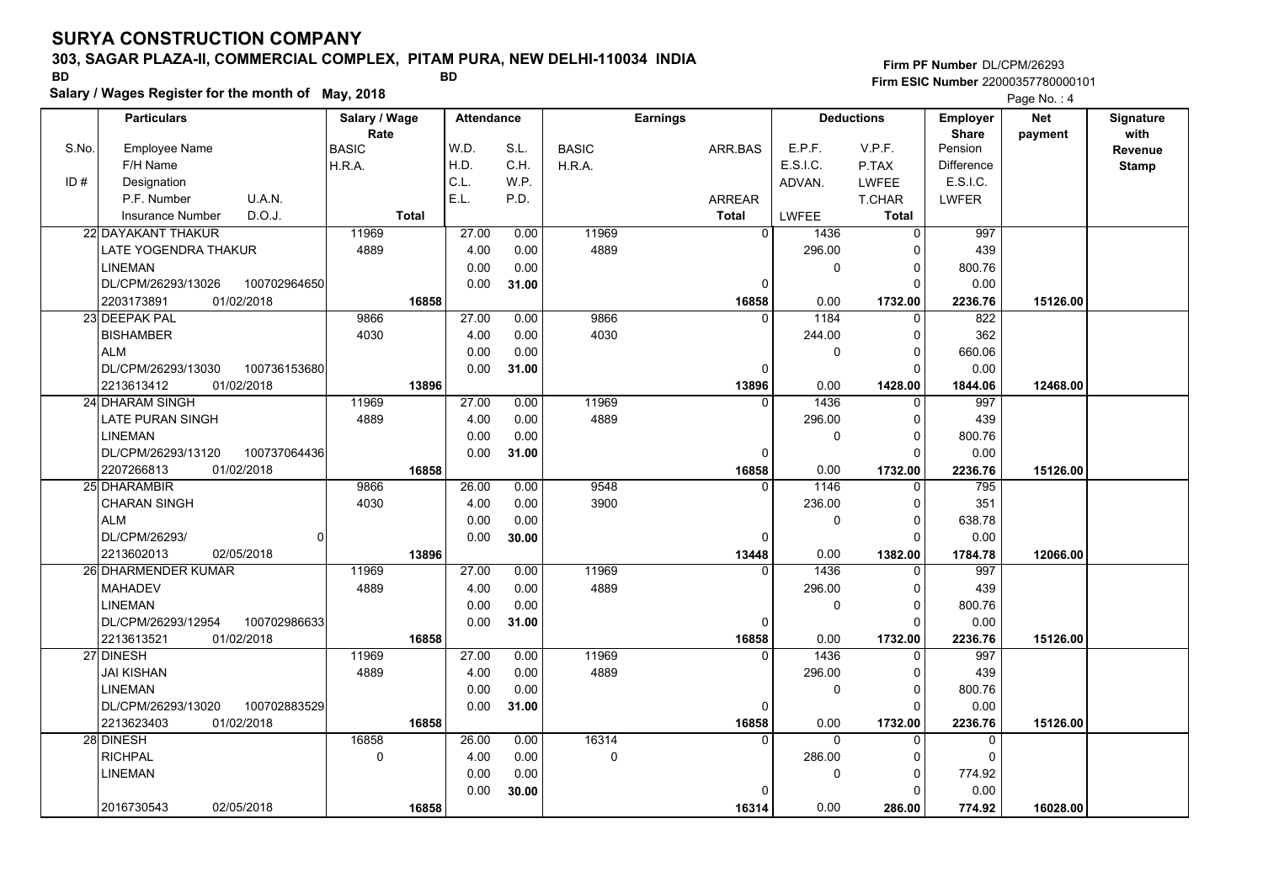### **303, SAGAR PLAZA-II, COMMERCIAL COMPLEX, PITAM PURA, NEW DELHI-110034 INDIA**

**Salary / Wages Register for the month of May, 2018 BD BD**

### **Firm PF Number**DL/CPM/26293**Firm ESIC Number** 22000357780000101

|       | <b>Particulars</b>                 | Salary / Wage        | <b>Attendance</b> |       |              | <b>Earnings</b>   |                  | <b>Deductions</b> | Employer                | <b>Net</b> | Signature       |
|-------|------------------------------------|----------------------|-------------------|-------|--------------|-------------------|------------------|-------------------|-------------------------|------------|-----------------|
| S.No. | Employee Name                      | Rate<br><b>BASIC</b> | W.D.              | S.L.  | <b>BASIC</b> | ARR.BAS           | E.P.F.           | V.P.F.            | <b>Share</b><br>Pension | payment    | with<br>Revenue |
|       | F/H Name                           | H.R.A.               | H.D.              | C.H.  | H.R.A.       |                   | E.S.I.C.         | P.TAX             | <b>Difference</b>       |            | <b>Stamp</b>    |
| ID#   | Designation                        |                      | C.L.              | W.P.  |              |                   | ADVAN.           | <b>LWFEE</b>      | E.S.I.C.                |            |                 |
|       | U.A.N.<br>P.F. Number              |                      | E.L.              | P.D.  |              | ARREAR            |                  | T.CHAR            | <b>LWFER</b>            |            |                 |
|       | D.O.J.<br><b>Insurance Number</b>  | <b>Total</b>         |                   |       |              | <b>Total</b>      | LWFEE            | Total             |                         |            |                 |
|       | 22 DAYAKANT THAKUR                 | 11969                | 27.00             | 0.00  | 11969        | $\overline{0}$    | 1436             | $\Omega$          | 997                     |            |                 |
|       | LATE YOGENDRA THAKUR               | 4889                 | 4.00              | 0.00  | 4889         |                   | 296.00           | $\Omega$          | 439                     |            |                 |
|       | <b>LINEMAN</b>                     |                      | 0.00              | 0.00  |              |                   | 0                | $\mathbf 0$       | 800.76                  |            |                 |
|       | DL/CPM/26293/13026<br>100702964650 |                      | 0.00              | 31.00 |              | 0                 |                  | $\Omega$          | 0.00                    |            |                 |
|       | 2203173891<br>01/02/2018           | 16858                |                   |       |              | 16858             | 0.00             | 1732.00           | 2236.76                 | 15126.00   |                 |
|       | 23 DEEPAK PAL                      | 9866                 | 27.00             | 0.00  | 9866         | $\Omega$          | 1184             | $\Omega$          | 822                     |            |                 |
|       | <b>BISHAMBER</b>                   | 4030                 | 4.00              | 0.00  | 4030         |                   | 244.00           | $\mathbf 0$       | 362                     |            |                 |
|       | <b>ALM</b>                         |                      | 0.00              | 0.00  |              |                   | 0                | $\Omega$          | 660.06                  |            |                 |
|       | DL/CPM/26293/13030<br>100736153680 |                      | 0.00              | 31.00 |              | 0                 |                  | $\mathbf 0$       | 0.00                    |            |                 |
|       | 2213613412<br>01/02/2018           | 13896                |                   |       |              | 13896             | 0.00             | 1428.00           | 1844.06                 | 12468.00   |                 |
|       | 24 DHARAM SINGH                    | 11969                | 27.00             | 0.00  | 11969        | $\Omega$          | 1436             | $\Omega$          | 997                     |            |                 |
|       | <b>LATE PURAN SINGH</b>            | 4889                 | 4.00              | 0.00  | 4889         |                   | 296.00           | $\mathbf 0$       | 439                     |            |                 |
|       | <b>LINEMAN</b>                     |                      | 0.00              | 0.00  |              |                   | 0                | $\mathbf 0$       | 800.76                  |            |                 |
|       | DL/CPM/26293/13120<br>100737064436 |                      | 0.00              | 31.00 |              | $\Omega$          |                  | $\Omega$          | 0.00                    |            |                 |
|       | 2207266813<br>01/02/2018           | 16858                |                   |       |              | 16858             | 0.00             | 1732.00           | 2236.76                 | 15126.00   |                 |
|       | 25 DHARAMBIR                       | 9866                 | 26.00             | 0.00  | 9548         | $\Omega$          | 1146             | 0                 | 795                     |            |                 |
|       | <b>CHARAN SINGH</b>                | 4030                 | 4.00              | 0.00  | 3900         |                   | 236.00           | $\mathbf 0$       | 351                     |            |                 |
|       | <b>ALM</b>                         |                      | 0.00              | 0.00  |              |                   | 0                | $\Omega$          | 638.78                  |            |                 |
|       | DL/CPM/26293/                      | οI                   | 0.00              | 30.00 |              | 0                 |                  | $\Omega$          | 0.00                    |            |                 |
|       | 2213602013<br>02/05/2018           | 13896                |                   |       |              | 13448             | 0.00             | 1382.00           | 1784.78                 | 12066.00   |                 |
|       | 26 DHARMENDER KUMAR                | 11969                | 27.00             | 0.00  | 11969        | $\Omega$          | 1436             | O                 | 997                     |            |                 |
|       | <b>MAHADEV</b>                     | 4889                 | 4.00              | 0.00  | 4889         |                   | 296.00           | $\mathbf 0$       | 439                     |            |                 |
|       | <b>LINEMAN</b>                     |                      | 0.00              | 0.00  |              |                   | 0                | $\mathbf 0$       | 800.76                  |            |                 |
|       | DL/CPM/26293/12954<br>100702986633 |                      | 0.00              | 31.00 |              | 0                 |                  | $\Omega$          | 0.00                    |            |                 |
|       | 2213613521<br>01/02/2018           | 16858                |                   |       |              | 16858             | 0.00             | 1732.00           | 2236.76                 | 15126.00   |                 |
|       | 27 DINESH                          | 11969                | 27.00             | 0.00  | 11969        | $\Omega$          | 1436             | 0                 | 997                     |            |                 |
|       | <b>JAI KISHAN</b>                  | 4889                 | 4.00              | 0.00  | 4889         |                   | 296.00           | $\Omega$          | 439                     |            |                 |
|       | <b>LINEMAN</b>                     |                      | 0.00              | 0.00  |              |                   | 0                | $\mathbf 0$       | 800.76                  |            |                 |
|       | DL/CPM/26293/13020<br>100702883529 |                      | 0.00              | 31.00 |              | 0                 |                  | $\Omega$          | 0.00                    |            |                 |
|       | 2213623403<br>01/02/2018           | 16858                |                   |       |              | 16858<br>$\Omega$ | 0.00<br>$\Omega$ | 1732.00           | 2236.76                 | 15126.00   |                 |
|       | 28 DINESH                          | 16858                | 26.00             | 0.00  | 16314        |                   |                  | $\Omega$          | 0<br>$\Omega$           |            |                 |
|       | <b>RICHPAL</b>                     | $\mathbf 0$          | 4.00              | 0.00  | 0            |                   | 286.00           | $\Omega$          |                         |            |                 |
|       | <b>LINEMAN</b>                     |                      | 0.00<br>0.00      | 0.00  |              | $\Omega$          | 0                | 0<br>$\Omega$     | 774.92                  |            |                 |
|       | 2016730543                         |                      |                   | 30.00 |              |                   |                  |                   | 0.00                    |            |                 |
|       | 02/05/2018                         | 16858                |                   |       |              | 16314             | 0.00             | 286.00            | 774.92                  | 16028.00   |                 |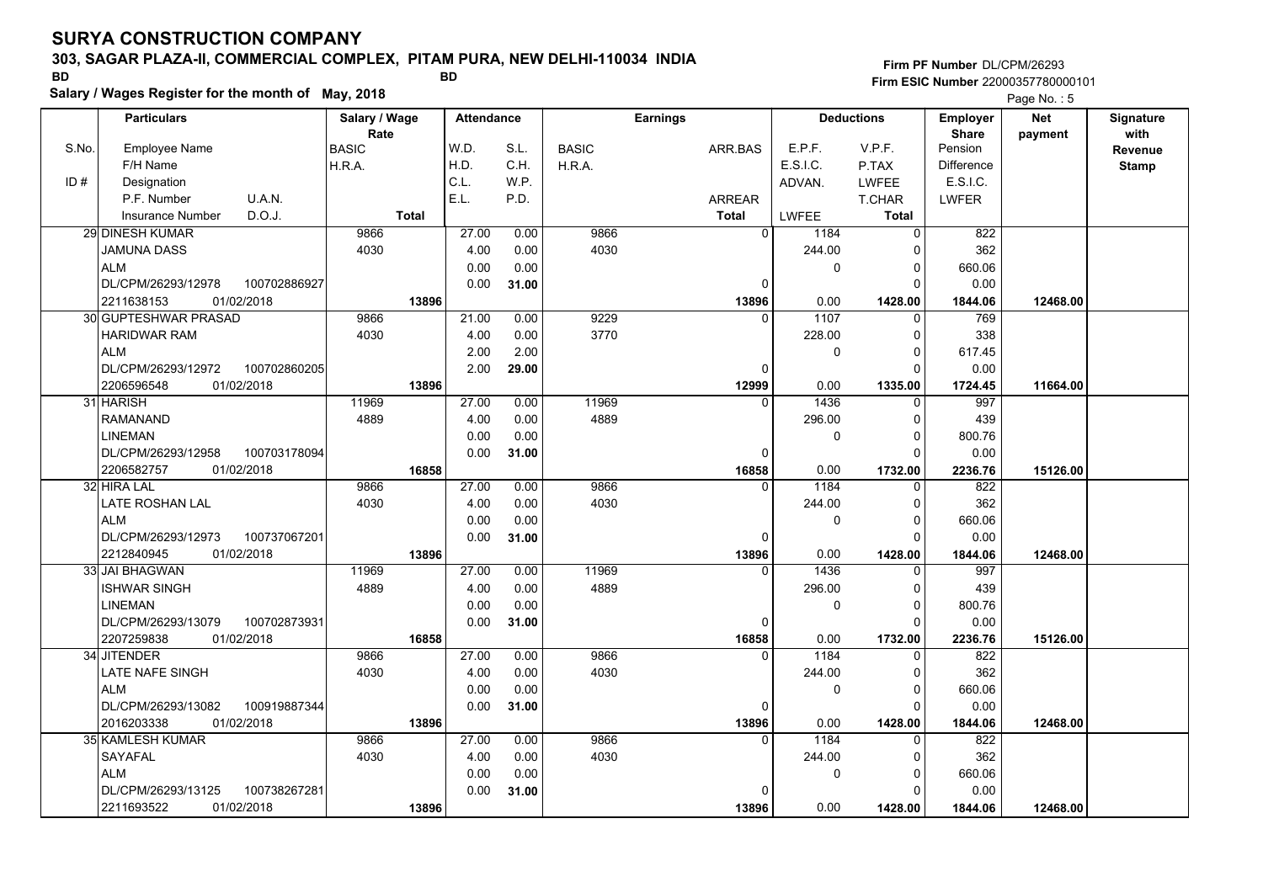### **303, SAGAR PLAZA-II, COMMERCIAL COMPLEX, PITAM PURA, NEW DELHI-110034 INDIA**

**Salary / Wages Register for the month of May, 2018 BD BD**

### **Firm PF Number**DL/CPM/26293**Firm ESIC Number** 22000357780000101

|       | <b>Particulars</b>                         |              | Salary / Wage        |              | <b>Attendance</b> |       |              | <b>Earnings</b> |                          | <b>Deductions</b>   | Employer                | <b>Net</b> | Signature       |
|-------|--------------------------------------------|--------------|----------------------|--------------|-------------------|-------|--------------|-----------------|--------------------------|---------------------|-------------------------|------------|-----------------|
| S.No. | <b>Employee Name</b>                       |              | Rate<br><b>BASIC</b> |              | W.D.              | S.L.  | <b>BASIC</b> | ARR.BAS         | E.P.F.                   | V.P.F.              | <b>Share</b><br>Pension | payment    | with<br>Revenue |
|       | F/H Name                                   |              | H.R.A.               |              | H.D.              | C.H.  | H.R.A.       |                 | E.S.I.C.                 | P.TAX               | <b>Difference</b>       |            |                 |
| ID#   | Designation                                |              |                      |              | C.L.              | W.P.  |              |                 | ADVAN.                   | <b>LWFEE</b>        | E.S.I.C.                |            | <b>Stamp</b>    |
|       | P.F. Number                                | U.A.N.       |                      |              | E.L.              | P.D.  |              | ARREAR          |                          | T.CHAR              | LWFER                   |            |                 |
|       | Insurance Number                           | D.O.J.       |                      | <b>Total</b> |                   |       |              | <b>Total</b>    | LWFEE                    | <b>Total</b>        |                         |            |                 |
|       | 29 DINESH KUMAR                            |              | 9866                 |              | 27.00             | 0.00  | 9866         |                 | 0<br>1184                | $\Omega$            | 822                     |            |                 |
|       | JAMUNA DASS                                |              | 4030                 |              | 4.00              | 0.00  | 4030         |                 | 244.00                   | ŋ                   | 362                     |            |                 |
|       | <b>ALM</b>                                 |              |                      |              | 0.00              | 0.00  |              |                 |                          | 0<br>$\Omega$       | 660.06                  |            |                 |
|       | DL/CPM/26293/12978                         | 100702886927 |                      |              | 0.00              | 31.00 |              |                 | 0                        | O                   | 0.00                    |            |                 |
|       | 01/02/2018<br>2211638153                   |              |                      | 13896        |                   |       |              |                 | 0.00                     |                     |                         | 12468.00   |                 |
|       | <b>30 GUPTESHWAR PRASAD</b>                |              | 9866                 |              | 21.00             | 0.00  | 9229         | 13896           | 1107<br>0                | 1428.00<br>$\Omega$ | 1844.06<br>769          |            |                 |
|       | HARIDWAR RAM                               |              | 4030                 |              | 4.00              | 0.00  | 3770         |                 | 228.00                   | <sup>0</sup>        | 338                     |            |                 |
|       | <b>ALM</b>                                 |              |                      |              | 2.00              |       |              |                 |                          | 0<br>$\Omega$       |                         |            |                 |
|       | DL/CPM/26293/12972                         |              |                      |              |                   | 2.00  |              |                 |                          | $\Omega$            | 617.45                  |            |                 |
|       |                                            | 100702860205 |                      |              | 2.00              | 29.00 |              |                 | 0                        |                     | 0.00                    |            |                 |
|       | 01/02/2018<br>2206596548<br>31 HARISH      |              | 11969                | 13896        | 27.00             | 0.00  | 11969        | 12999           | 0.00<br>1436<br>$\Omega$ | 1335.00<br>$\Omega$ | 1724.45<br>997          | 11664.00   |                 |
|       | <b>RAMANAND</b>                            |              | 4889                 |              | 4.00              | 0.00  | 4889         |                 | 296.00                   | $\Omega$            | 439                     |            |                 |
|       | <b>LINEMAN</b>                             |              |                      |              |                   |       |              |                 |                          | $\Omega$            |                         |            |                 |
|       | DL/CPM/26293/12958                         | 100703178094 |                      |              | 0.00              | 0.00  |              |                 |                          | 0                   | 800.76                  |            |                 |
|       |                                            |              |                      | 16858        | 0.00              | 31.00 |              | 16858           | $\mathbf 0$              | 1732.00             | 0.00<br>2236.76         | 15126.00   |                 |
|       | 2206582757<br>01/02/2018<br>32 HIRA LAL    |              | 9866                 |              | 27.00             | 0.00  | 9866         |                 | 0.00<br>1184<br>0        | 0                   | 822                     |            |                 |
|       | LATE ROSHAN LAL                            |              | 4030                 |              | 4.00              | 0.00  | 4030         |                 | 244.00                   | $\Omega$            | 362                     |            |                 |
|       | <b>ALM</b>                                 |              |                      |              | 0.00              | 0.00  |              |                 |                          | 0<br>$\Omega$       | 660.06                  |            |                 |
|       |                                            |              |                      |              |                   |       |              |                 | 0                        | O                   |                         |            |                 |
|       | DL/CPM/26293/12973                         | 100737067201 |                      |              | 0.00              | 31.00 |              |                 |                          |                     | 0.00                    |            |                 |
|       | 2212840945<br>01/02/2018<br>33 JAI BHAGWAN |              | 11969                | 13896        | 27.00             | 0.00  | 11969        | 13896           | 0.00<br>1436<br>$\Omega$ | 1428.00<br>U        | 1844.06<br>997          | 12468.00   |                 |
|       | <b>ISHWAR SINGH</b>                        |              | 4889                 |              | 4.00              | 0.00  | 4889         |                 | 296.00                   | $\Omega$            | 439                     |            |                 |
|       | <b>LINEMAN</b>                             |              |                      |              | 0.00              | 0.00  |              |                 |                          | 0<br>$\Omega$       | 800.76                  |            |                 |
|       | DL/CPM/26293/13079                         | 100702873931 |                      |              | 0.00              | 31.00 |              |                 | 0                        | $\Omega$            | 0.00                    |            |                 |
|       | 2207259838<br>01/02/2018                   |              |                      |              |                   |       |              | 16858           | 0.00                     | 1732.00             | 2236.76                 | 15126.00   |                 |
|       | 34 JITENDER                                |              | 9866                 | 16858        | 27.00             | 0.00  | 9866         |                 | 1184<br>$\Omega$         | $\Omega$            | 822                     |            |                 |
|       | LATE NAFE SINGH                            |              | 4030                 |              | 4.00              | 0.00  | 4030         |                 | 244.00                   | $\Omega$            | 362                     |            |                 |
|       | <b>ALM</b>                                 |              |                      |              | 0.00              | 0.00  |              |                 |                          | 0<br>$\Omega$       | 660.06                  |            |                 |
|       | DL/CPM/26293/13082                         | 100919887344 |                      |              |                   |       |              |                 |                          | $\Omega$            | 0.00                    |            |                 |
|       | 01/02/2018<br>2016203338                   |              |                      | 13896        | 0.00              | 31.00 |              |                 | 0<br>0.00                |                     |                         |            |                 |
|       | <b>35 KAMLESH KUMAR</b>                    |              | 9866                 |              | 27.00             | 0.00  | 9866         | 13896           | 1184<br>$\Omega$         | 1428.00<br>$\Omega$ | 1844.06<br>822          | 12468.00   |                 |
|       | SAYAFAL                                    |              | 4030                 |              | 4.00              | 0.00  | 4030         |                 | 244.00                   | <sup>0</sup>        | 362                     |            |                 |
|       |                                            |              |                      |              |                   |       |              |                 |                          |                     |                         |            |                 |
|       | <b>ALM</b>                                 |              |                      |              | 0.00              | 0.00  |              |                 |                          | 0<br>0              | 660.06                  |            |                 |
|       | DL/CPM/26293/13125                         | 100738267281 |                      |              | 0.00              | 31.00 |              |                 | $\Omega$                 |                     | 0.00                    |            |                 |
|       | 01/02/2018<br>2211693522                   |              |                      | 13896        |                   |       |              | 13896           | 0.00                     | 1428.00             | 1844.06                 | 12468.00   |                 |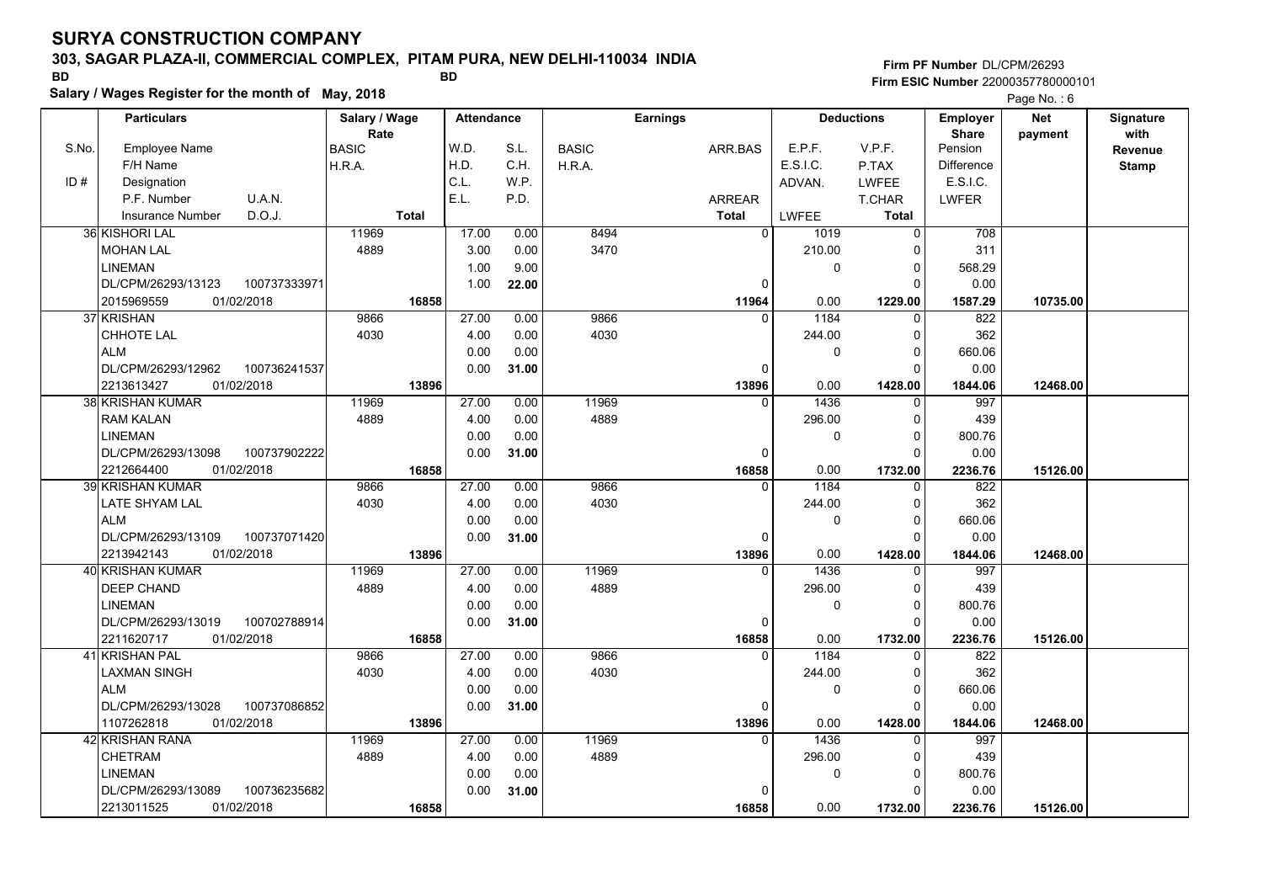### **303, SAGAR PLAZA-II, COMMERCIAL COMPLEX, PITAM PURA, NEW DELHI-110034 INDIA**

**Salary / Wages Register for the month of May, 2018 BD BD**

### **Firm PF Number**DL/CPM/26293**Firm ESIC Number** 22000357780000101

|       | <b>Particulars</b>                 | Salary / Wage        | <b>Attendance</b> |       |              | <b>Earnings</b> |                |              | <b>Deductions</b> | <b>Employer</b>         | <b>Net</b> | Signature       |
|-------|------------------------------------|----------------------|-------------------|-------|--------------|-----------------|----------------|--------------|-------------------|-------------------------|------------|-----------------|
| S.No. | Employee Name                      | Rate<br><b>BASIC</b> | W.D.              | S.L.  | <b>BASIC</b> | ARR.BAS         |                | E.P.F.       | V.P.F.            | <b>Share</b><br>Pension | payment    | with<br>Revenue |
|       | F/H Name                           | H.R.A.               | H.D.              | C.H.  | H.R.A.       |                 |                | E.S.I.C.     | P.TAX             | <b>Difference</b>       |            | <b>Stamp</b>    |
| ID#   | Designation                        |                      | C.L.              | W.P.  |              |                 |                | ADVAN.       | <b>LWFEE</b>      | E.S.I.C.                |            |                 |
|       | U.A.N.<br>P.F. Number              |                      | E.L.              | P.D.  |              | ARREAR          |                |              | T.CHAR            | <b>LWFER</b>            |            |                 |
|       | D.O.J.<br><b>Insurance Number</b>  | <b>Total</b>         |                   |       |              | <b>Total</b>    |                | <b>LWFEE</b> | <b>Total</b>      |                         |            |                 |
|       | 36 KISHORI LAL                     | 11969                | 17.00             | 0.00  | 8494         |                 | $\overline{0}$ | 1019         | $\mathbf 0$       | 708                     |            |                 |
|       | <b>MOHAN LAL</b>                   | 4889                 | 3.00              | 0.00  | 3470         |                 |                | 210.00       | $\Omega$          | 311                     |            |                 |
|       | <b>LINEMAN</b>                     |                      | 1.00              | 9.00  |              |                 |                | 0            | $\mathbf 0$       | 568.29                  |            |                 |
|       | DL/CPM/26293/13123<br>100737333971 |                      | 1.00              | 22.00 |              |                 | $\Omega$       |              | $\Omega$          | 0.00                    |            |                 |
|       | 2015969559<br>01/02/2018           | 16858                |                   |       |              |                 | 11964          | 0.00         | 1229.00           | 1587.29                 | 10735.00   |                 |
|       | 37 KRISHAN                         | 9866                 | 27.00             | 0.00  | 9866         |                 | $\Omega$       | 1184         | $\mathbf 0$       | 822                     |            |                 |
|       | CHHOTE LAL                         | 4030                 | 4.00              | 0.00  | 4030         |                 |                | 244.00       | $\mathbf 0$       | 362                     |            |                 |
|       | <b>ALM</b>                         |                      | 0.00              | 0.00  |              |                 |                | 0            | $\Omega$          | 660.06                  |            |                 |
|       | DL/CPM/26293/12962<br>100736241537 |                      | 0.00              | 31.00 |              |                 | $\Omega$       |              | $\Omega$          | 0.00                    |            |                 |
|       | 01/02/2018<br>2213613427           | 13896                |                   |       |              |                 | 13896          | 0.00         | 1428.00           | 1844.06                 | 12468.00   |                 |
|       | <b>38 KRISHAN KUMAR</b>            | 11969                | 27.00             | 0.00  | 11969        |                 | $\Omega$       | 1436         | 0                 | 997                     |            |                 |
|       | <b>RAM KALAN</b>                   | 4889                 | 4.00              | 0.00  | 4889         |                 |                | 296.00       | $\Omega$          | 439                     |            |                 |
|       | <b>LINEMAN</b>                     |                      | 0.00              | 0.00  |              |                 |                | 0            | $\Omega$          | 800.76                  |            |                 |
|       | DL/CPM/26293/13098<br>100737902222 |                      | 0.00              | 31.00 |              |                 | $\mathbf 0$    |              | $\Omega$          | 0.00                    |            |                 |
|       | 2212664400<br>01/02/2018           | 16858                |                   |       |              |                 | 16858          | 0.00         | 1732.00           | 2236.76                 | 15126.00   |                 |
|       | <b>39 KRISHAN KUMAR</b>            | 9866                 | 27.00             | 0.00  | 9866         |                 | $\Omega$       | 1184         | $\Omega$          | 822                     |            |                 |
|       | LATE SHYAM LAL                     | 4030                 | 4.00              | 0.00  | 4030         |                 |                | 244.00       | $\Omega$          | 362                     |            |                 |
|       | <b>ALM</b>                         |                      | 0.00              | 0.00  |              |                 |                | 0            | $\mathbf 0$       | 660.06                  |            |                 |
|       | 100737071420<br>DL/CPM/26293/13109 |                      | 0.00              | 31.00 |              |                 | $\mathbf 0$    |              | $\Omega$          | 0.00                    |            |                 |
|       | 01/02/2018<br>2213942143           | 13896                |                   |       |              |                 | 13896          | 0.00         | 1428.00           | 1844.06                 | 12468.00   |                 |
|       | 40 KRISHAN KUMAR                   | 11969                | 27.00             | 0.00  | 11969        |                 | $\Omega$       | 1436         | $\Omega$          | 997                     |            |                 |
|       | DEEP CHAND                         | 4889                 | 4.00              | 0.00  | 4889         |                 |                | 296.00       | $\Omega$          | 439                     |            |                 |
|       | LINEMAN                            |                      | 0.00              | 0.00  |              |                 |                | 0            | $\pmb{0}$         | 800.76                  |            |                 |
|       | DL/CPM/26293/13019<br>100702788914 |                      | 0.00              | 31.00 |              |                 | 0              |              | $\Omega$          | 0.00                    |            |                 |
|       | 2211620717<br>01/02/2018           | 16858                |                   |       |              |                 | 16858          | 0.00         | 1732.00           | 2236.76                 | 15126.00   |                 |
|       | 41 KRISHAN PAL                     | 9866                 | 27.00             | 0.00  | 9866         |                 | $\Omega$       | 1184         | 0                 | 822                     |            |                 |
|       | LAXMAN SINGH                       | 4030                 | 4.00              | 0.00  | 4030         |                 |                | 244.00       | $\Omega$          | 362                     |            |                 |
|       | <b>ALM</b>                         |                      | 0.00              | 0.00  |              |                 |                | 0            | $\mathbf 0$       | 660.06                  |            |                 |
|       | DL/CPM/26293/13028<br>100737086852 |                      | 0.00              | 31.00 |              |                 | $\mathbf 0$    |              | $\Omega$          | 0.00                    |            |                 |
|       | 1107262818<br>01/02/2018           | 13896                |                   |       |              |                 | 13896          | 0.00         | 1428.00           | 1844.06                 | 12468.00   |                 |
|       | 42 KRISHAN RANA                    | 11969                | 27.00             | 0.00  | 11969        |                 | $\Omega$       | 1436         | $\mathbf{0}$      | 997                     |            |                 |
|       | <b>CHETRAM</b>                     | 4889                 | 4.00              | 0.00  | 4889         |                 |                | 296.00       | $\Omega$          | 439                     |            |                 |
|       | <b>LINEMAN</b>                     |                      | 0.00              | 0.00  |              |                 |                | 0            | $\mathbf 0$       | 800.76                  |            |                 |
|       | DL/CPM/26293/13089<br>100736235682 |                      | 0.00              | 31.00 |              |                 | $\mathbf 0$    |              | $\Omega$          | 0.00                    |            |                 |
|       | 2213011525<br>01/02/2018           | 16858                |                   |       |              |                 | 16858          | 0.00         | 1732.00           | 2236.76                 | 15126.00   |                 |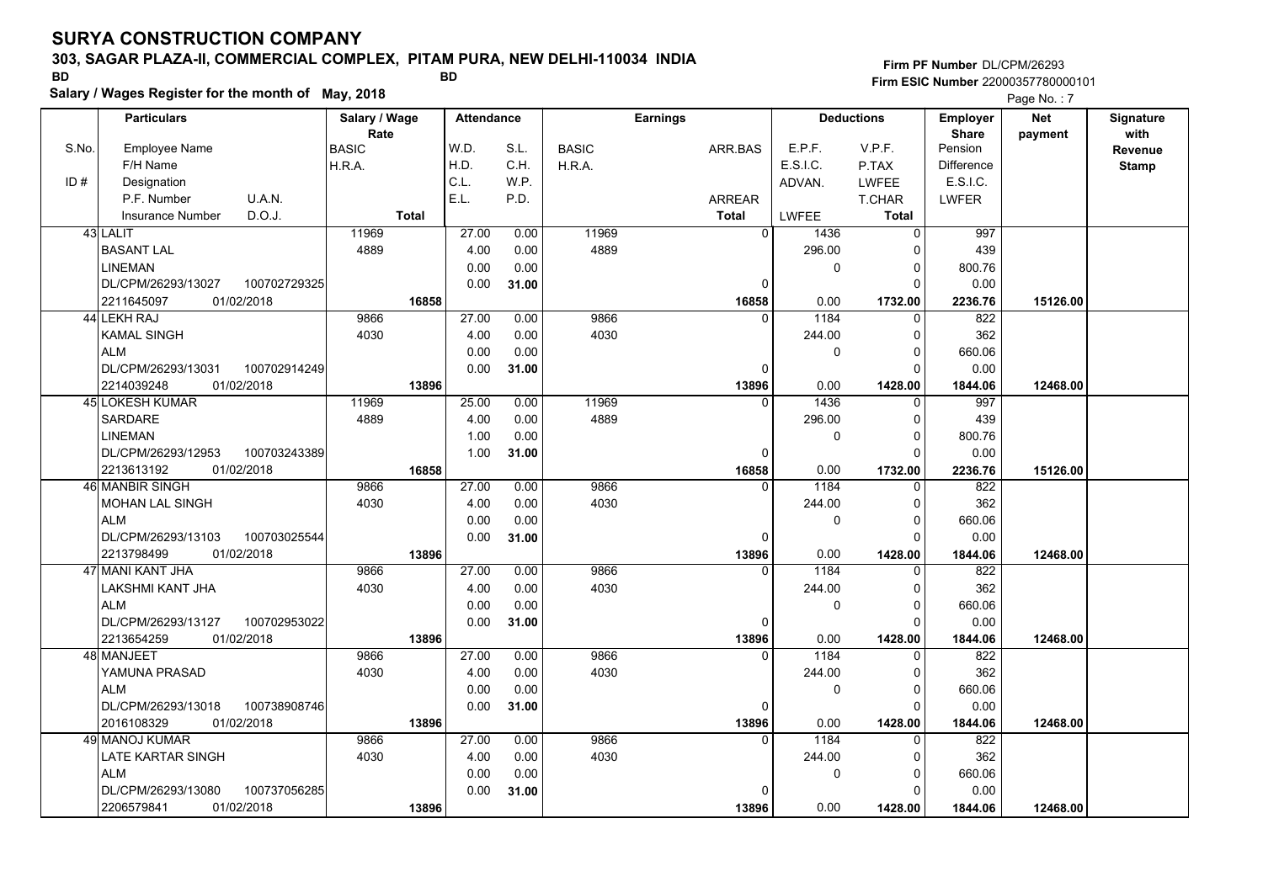### **303, SAGAR PLAZA-II, COMMERCIAL COMPLEX, PITAM PURA, NEW DELHI-110034 INDIA**

**Salary / Wages Register for the month of May, 2018 BD BD**

**Firm PF Number**DL/CPM/26293**Firm ESIC Number** 22000357780000101

|       | <b>Particulars</b>                 | Salary / Wage        | <b>Attendance</b> |       |              | <b>Earnings</b> |              | <b>Deductions</b> | Employer                | <b>Net</b> | Signature       |
|-------|------------------------------------|----------------------|-------------------|-------|--------------|-----------------|--------------|-------------------|-------------------------|------------|-----------------|
| S.No. | Employee Name                      | Rate<br><b>BASIC</b> | W.D.              | S.L.  | <b>BASIC</b> | ARR.BAS         | E.P.F.       | V.P.F.            | <b>Share</b><br>Pension | payment    | with<br>Revenue |
|       | F/H Name                           | H.R.A.               | H.D.              | C.H.  | H.R.A.       |                 | E.S.I.C.     | P.TAX             | <b>Difference</b>       |            | <b>Stamp</b>    |
| ID#   | Designation                        |                      | C.L.              | W.P.  |              |                 | ADVAN.       | <b>LWFEE</b>      | E.S.I.C.                |            |                 |
|       | U.A.N.<br>P.F. Number              |                      | E.L.              | P.D.  |              | <b>ARREAR</b>   |              | T.CHAR            | <b>LWFER</b>            |            |                 |
|       | D.O.J.<br><b>Insurance Number</b>  | <b>Total</b>         |                   |       |              | <b>Total</b>    | <b>LWFEE</b> | <b>Total</b>      |                         |            |                 |
|       | 43 LALIT                           | 11969                | 27.00             | 0.00  | 11969        | $\mathbf 0$     | 1436         | 0                 | 997                     |            |                 |
|       | <b>BASANT LAL</b>                  | 4889                 | 4.00              | 0.00  | 4889         |                 | 296.00       | $\Omega$          | 439                     |            |                 |
|       | <b>LINEMAN</b>                     |                      | 0.00              | 0.00  |              |                 | $\mathbf{0}$ | $\Omega$          | 800.76                  |            |                 |
|       | DL/CPM/26293/13027<br>100702729325 |                      | 0.00              | 31.00 |              | $\mathbf 0$     |              | $\Omega$          | 0.00                    |            |                 |
|       | 01/02/2018<br>2211645097           | 16858                |                   |       |              | 16858           | 0.00         | 1732.00           | 2236.76                 | 15126.00   |                 |
|       | 44 LEKH RAJ                        | 9866                 | 27.00             | 0.00  | 9866         | $\mathbf{0}$    | 1184         | $\Omega$          | 822                     |            |                 |
|       | <b>KAMAL SINGH</b>                 | 4030                 | 4.00              | 0.00  | 4030         |                 | 244.00       | $\Omega$          | 362                     |            |                 |
|       | <b>ALM</b>                         |                      | 0.00              | 0.00  |              |                 | $\mathbf{0}$ | $\Omega$          | 660.06                  |            |                 |
|       | DL/CPM/26293/13031<br>100702914249 |                      | 0.00              | 31.00 |              | 0               |              | $\Omega$          | 0.00                    |            |                 |
|       | 01/02/2018<br>2214039248           | 13896                |                   |       |              | 13896           | 0.00         | 1428.00           | 1844.06                 | 12468.00   |                 |
|       | <b>45 LOKESH KUMAR</b>             | 11969                | 25.00             | 0.00  | 11969        | $\Omega$        | 1436         | $\mathbf{0}$      | 997                     |            |                 |
|       | <b>SARDARE</b>                     | 4889                 | 4.00              | 0.00  | 4889         |                 | 296.00       | $\Omega$          | 439                     |            |                 |
|       | <b>LINEMAN</b>                     |                      | 1.00              | 0.00  |              |                 | $\mathbf 0$  | $\Omega$          | 800.76                  |            |                 |
|       | DL/CPM/26293/12953<br>100703243389 |                      | 1.00              | 31.00 |              | 0               |              | $\Omega$          | 0.00                    |            |                 |
|       | 2213613192<br>01/02/2018           | 16858                |                   |       |              | 16858           | 0.00         | 1732.00           | 2236.76                 | 15126.00   |                 |
|       | 46 MANBIR SINGH                    | 9866                 | 27.00             | 0.00  | 9866         | $\mathbf{0}$    | 1184         | $\Omega$          | 822                     |            |                 |
|       | <b>MOHAN LAL SINGH</b>             | 4030                 | 4.00              | 0.00  | 4030         |                 | 244.00       | $\Omega$          | 362                     |            |                 |
|       | <b>ALM</b>                         |                      | 0.00              | 0.00  |              |                 | $\Omega$     | $\Omega$          | 660.06                  |            |                 |
|       | 100703025544<br>DL/CPM/26293/13103 |                      | 0.00              | 31.00 |              | $\mathbf 0$     |              | $\Omega$          | 0.00                    |            |                 |
|       | 2213798499<br>01/02/2018           | 13896                |                   |       |              | 13896           | 0.00         | 1428.00           | 1844.06                 | 12468.00   |                 |
|       | 47 MANI KANT JHA                   | 9866                 | 27.00             | 0.00  | 9866         | $\Omega$        | 1184         | $\Omega$          | 822                     |            |                 |
|       | LAKSHMI KANT JHA                   | 4030                 | 4.00              | 0.00  | 4030         |                 | 244.00       | $\Omega$          | 362                     |            |                 |
|       | <b>ALM</b>                         |                      | 0.00              | 0.00  |              |                 | $\mathbf{0}$ | 0                 | 660.06                  |            |                 |
|       | DL/CPM/26293/13127<br>100702953022 |                      | 0.00              | 31.00 |              | $\mathbf 0$     |              | $\Omega$          | 0.00                    |            |                 |
|       | 2213654259<br>01/02/2018           | 13896                |                   |       |              | 13896           | 0.00         | 1428.00           | 1844.06                 | 12468.00   |                 |
|       | 48l MANJEET                        | 9866                 | 27.00             | 0.00  | 9866         | $\Omega$        | 1184         | $\Omega$          | 822                     |            |                 |
|       | YAMUNA PRASAD                      | 4030                 | 4.00              | 0.00  | 4030         |                 | 244.00       | 0                 | 362                     |            |                 |
|       | <b>ALM</b>                         |                      | 0.00              | 0.00  |              |                 | $\Omega$     | $\Omega$          | 660.06                  |            |                 |
|       | DL/CPM/26293/13018<br>100738908746 |                      | 0.00              | 31.00 |              | $\mathbf 0$     |              | $\Omega$          | 0.00                    |            |                 |
|       | 01/02/2018<br>2016108329           | 13896                |                   |       |              | 13896           | 0.00         | 1428.00           | 1844.06                 | 12468.00   |                 |
|       | 49 MANOJ KUMAR                     | 9866                 | 27.00             | 0.00  | 9866         | $\overline{0}$  | 1184         | $\mathbf 0$       | 822                     |            |                 |
|       | LATE KARTAR SINGH                  | 4030                 | 4.00              | 0.00  | 4030         |                 | 244.00       | 0                 | 362                     |            |                 |
|       | <b>ALM</b>                         |                      | 0.00              | 0.00  |              |                 | $\mathbf 0$  | 0                 | 660.06                  |            |                 |
|       | DL/CPM/26293/13080<br>100737056285 |                      | 0.00              | 31.00 |              | 0               |              | $\Omega$          | 0.00                    |            |                 |
|       | 2206579841<br>01/02/2018           | 13896                |                   |       |              | 13896           | 0.00         | 1428.00           | 1844.06                 | 12468.00   |                 |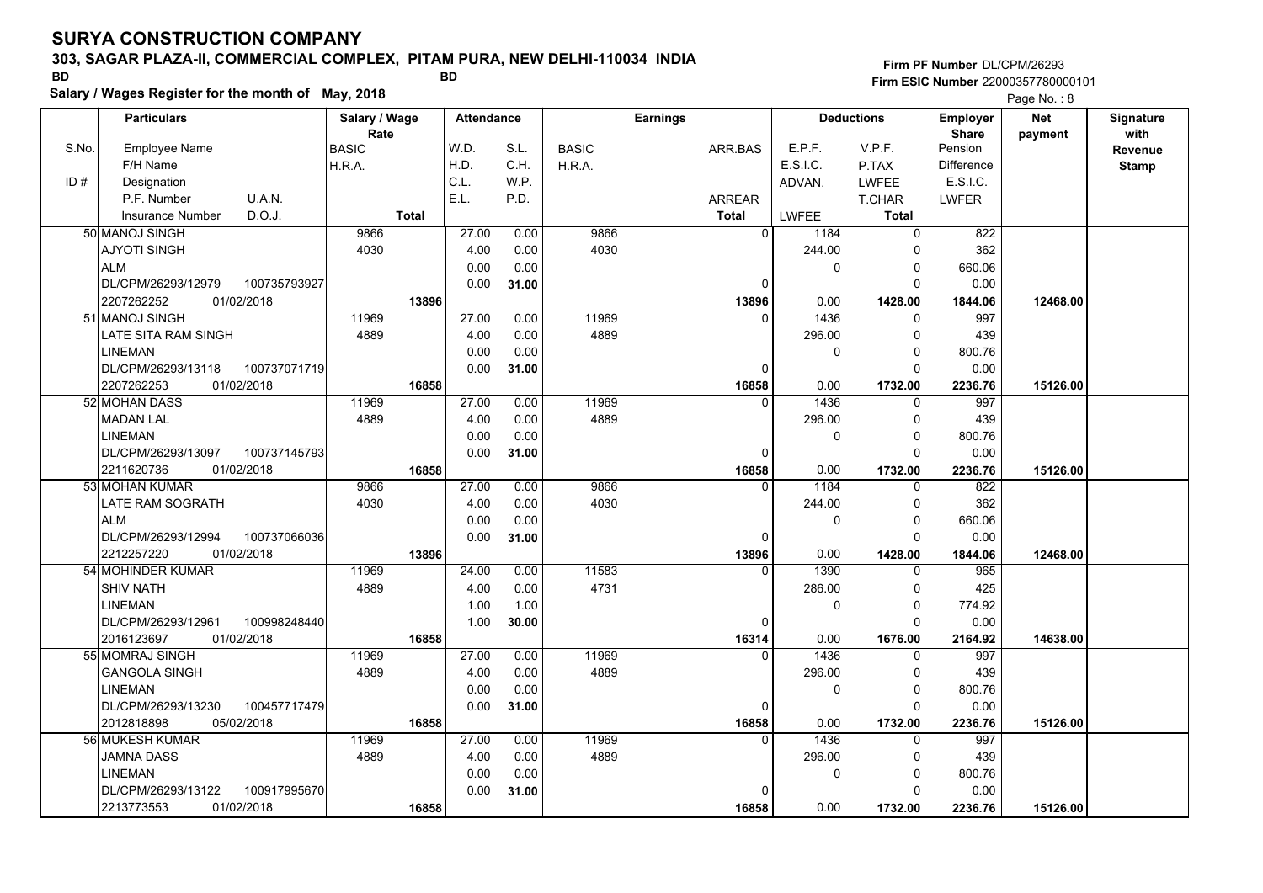### **303, SAGAR PLAZA-II, COMMERCIAL COMPLEX, PITAM PURA, NEW DELHI-110034 INDIA**

**Salary / Wages Register for the month of May, 2018 BD BD**

**Firm PF Number**DL/CPM/26293**Firm ESIC Number** 22000357780000101

|       | <b>Particulars</b>                 | Salary / Wage<br>Rate |              | <b>Attendance</b> |       |              | <b>Earnings</b> |                |              | <b>Deductions</b> | Employer<br><b>Share</b> | <b>Net</b> | Signature<br>with |
|-------|------------------------------------|-----------------------|--------------|-------------------|-------|--------------|-----------------|----------------|--------------|-------------------|--------------------------|------------|-------------------|
| S.No. | Employee Name                      | <b>BASIC</b>          |              | W.D.              | S.L.  | <b>BASIC</b> |                 | ARR BAS        | E.P.F.       | V.P.F.            | Pension                  | payment    | Revenue           |
|       | F/H Name                           | H.R.A.                |              | H.D.              | C.H.  | H.R.A.       |                 |                | E.S.I.C.     | P.TAX             | Difference               |            | <b>Stamp</b>      |
| ID#   | Designation                        |                       |              | C.L.              | W.P.  |              |                 |                | ADVAN.       | <b>LWFEE</b>      | E.S.I.C.                 |            |                   |
|       | U.A.N.<br>P.F. Number              |                       |              | E.L.              | P.D.  |              |                 | <b>ARREAR</b>  |              | T.CHAR            | <b>LWFER</b>             |            |                   |
|       | D.O.J.<br><b>Insurance Number</b>  |                       | <b>Total</b> |                   |       |              |                 | Total          | <b>LWFEE</b> | <b>Total</b>      |                          |            |                   |
|       | 50 MANOJ SINGH                     | 9866                  |              | 27.00             | 0.00  | 9866         |                 | $\overline{0}$ | 1184         | $\Omega$          | 822                      |            |                   |
|       | <b>AJYOTI SINGH</b>                | 4030                  |              | 4.00              | 0.00  | 4030         |                 |                | 244.00       | 0                 | 362                      |            |                   |
|       | <b>ALM</b>                         |                       |              | 0.00              | 0.00  |              |                 |                | $\Omega$     | $\mathbf 0$       | 660.06                   |            |                   |
|       | 100735793927<br>DL/CPM/26293/12979 |                       |              | 0.00              | 31.00 |              |                 | $\Omega$       |              | $\Omega$          | 0.00                     |            |                   |
|       | 2207262252<br>01/02/2018           |                       | 13896        |                   |       |              |                 | 13896          | 0.00         | 1428.00           | 1844.06                  | 12468.00   |                   |
|       | 51 MANOJ SINGH                     | 11969                 |              | 27.00             | 0.00  | 11969        |                 | $\Omega$       | 1436         | 0                 | 997                      |            |                   |
|       | LATE SITA RAM SINGH                | 4889                  |              | 4.00              | 0.00  | 4889         |                 |                | 296.00       | 0                 | 439                      |            |                   |
|       | <b>LINEMAN</b>                     |                       |              | 0.00              | 0.00  |              |                 |                | 0            | $\Omega$          | 800.76                   |            |                   |
|       | DL/CPM/26293/13118<br>100737071719 |                       |              | 0.00              | 31.00 |              |                 | 0              |              | 0                 | 0.00                     |            |                   |
|       | 01/02/2018<br>2207262253           |                       | 16858        |                   |       |              |                 | 16858          | 0.00         | 1732.00           | 2236.76                  | 15126.00   |                   |
|       | 52 MOHAN DASS                      | 11969                 |              | 27.00             | 0.00  | 11969        |                 | $\Omega$       | 1436         | $\mathbf 0$       | 997                      |            |                   |
|       | <b>MADAN LAL</b>                   | 4889                  |              | 4.00              | 0.00  | 4889         |                 |                | 296.00       | 0                 | 439                      |            |                   |
|       | <b>LINEMAN</b>                     |                       |              | 0.00              | 0.00  |              |                 |                | 0            | $\mathbf 0$       | 800.76                   |            |                   |
|       | DL/CPM/26293/13097<br>100737145793 |                       |              | 0.00              | 31.00 |              |                 | 0              |              | $\Omega$          | 0.00                     |            |                   |
|       | 2211620736<br>01/02/2018           |                       | 16858        |                   |       |              |                 | 16858          | 0.00         | 1732.00           | 2236.76                  | 15126.00   |                   |
|       | 53 MOHAN KUMAR                     | 9866                  |              | 27.00             | 0.00  | 9866         |                 | $\Omega$       | 1184         | 0                 | 822                      |            |                   |
|       | LATE RAM SOGRATH                   | 4030                  |              | 4.00              | 0.00  | 4030         |                 |                | 244.00       | $\mathbf 0$       | 362                      |            |                   |
|       | <b>ALM</b>                         |                       |              | 0.00              | 0.00  |              |                 |                | 0            | $\Omega$          | 660.06                   |            |                   |
|       | 100737066036<br>DL/CPM/26293/12994 |                       |              | 0.00              | 31.00 |              |                 | $\Omega$       |              | $\Omega$          | 0.00                     |            |                   |
|       | 2212257220<br>01/02/2018           |                       | 13896        |                   |       |              |                 | 13896          | 0.00         | 1428.00           | 1844.06                  | 12468.00   |                   |
|       | 54 MOHINDER KUMAR                  | 11969                 |              | 24.00             | 0.00  | 11583        |                 | $\Omega$       | 1390         | $\Omega$          | 965                      |            |                   |
|       | <b>SHIV NATH</b>                   | 4889                  |              | 4.00              | 0.00  | 4731         |                 |                | 286.00       | $\mathbf 0$       | 425                      |            |                   |
|       | <b>LINEMAN</b>                     |                       |              | 1.00              | 1.00  |              |                 |                | 0            | $\mathbf 0$       | 774.92                   |            |                   |
|       | DL/CPM/26293/12961<br>100998248440 |                       |              | 1.00              | 30.00 |              |                 | 0              |              | $\Omega$          | 0.00                     |            |                   |
|       | 2016123697<br>01/02/2018           |                       | 16858        |                   |       |              |                 | 16314          | 0.00         | 1676.00           | 2164.92                  | 14638.00   |                   |
|       | 55 MOMRAJ SINGH                    | 11969                 |              | 27.00             | 0.00  | 11969        |                 | $\Omega$       | 1436         | 0                 | 997                      |            |                   |
|       | <b>GANGOLA SINGH</b>               | 4889                  |              | 4.00              | 0.00  | 4889         |                 |                | 296.00       | 0                 | 439                      |            |                   |
|       | <b>LINEMAN</b>                     |                       |              | 0.00              | 0.00  |              |                 |                | 0            | $\mathbf 0$       | 800.76                   |            |                   |
|       | 100457717479<br>DL/CPM/26293/13230 |                       |              | 0.00              | 31.00 |              |                 | 0              |              | $\Omega$          | 0.00                     |            |                   |
|       | 2012818898<br>05/02/2018           |                       | 16858        |                   |       |              |                 | 16858          | 0.00         | 1732.00           | 2236.76                  | 15126.00   |                   |
|       | 56 MUKESH KUMAR                    | 11969                 |              | 27.00             | 0.00  | 11969        |                 | $\Omega$       | 1436         | $\Omega$          | 997                      |            |                   |
|       | <b>JAMNA DASS</b>                  | 4889                  |              | 4.00              | 0.00  | 4889         |                 |                | 296.00       | $\mathbf 0$       | 439                      |            |                   |
|       | <b>LINEMAN</b>                     |                       |              | 0.00              | 0.00  |              |                 |                | 0            | $\mathbf 0$       | 800.76                   |            |                   |
|       | DL/CPM/26293/13122<br>100917995670 |                       |              | 0.00              | 31.00 |              |                 | O              |              | $\Omega$          | 0.00                     |            |                   |
|       | 01/02/2018<br>2213773553           |                       | 16858        |                   |       |              |                 | 16858          | 0.00         | 1732.00           | 2236.76                  | 15126.00   |                   |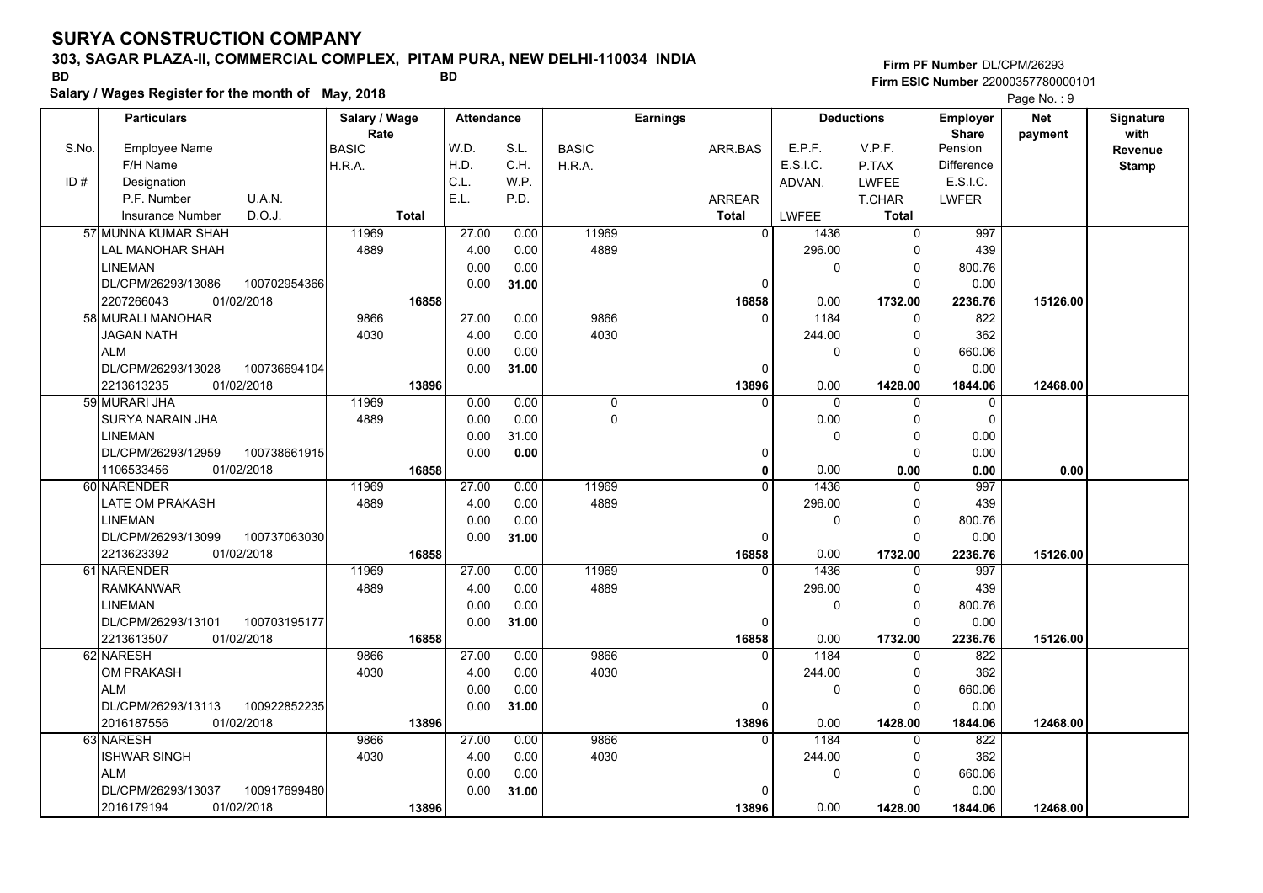### **303, SAGAR PLAZA-II, COMMERCIAL COMPLEX, PITAM PURA, NEW DELHI-110034 INDIA**

**Salary / Wages Register for the month of May, 2018 BD BD**

### **Firm PF Number**DL/CPM/26293**Firm ESIC Number** 22000357780000101

|       | <b>Particulars</b>                    |              | Salary / Wage<br>Rate |              | <b>Attendance</b> |       |              | <b>Earnings</b> |                   |              | <b>Deductions</b>   | Employer<br><b>Share</b> | <b>Net</b> | Signature<br>with |
|-------|---------------------------------------|--------------|-----------------------|--------------|-------------------|-------|--------------|-----------------|-------------------|--------------|---------------------|--------------------------|------------|-------------------|
| S.No. | Employee Name                         |              | <b>BASIC</b>          |              | W.D.              | S.L.  | <b>BASIC</b> | ARR BAS         |                   | E.P.F.       | V.P.F.              | Pension                  | payment    | <b>Revenue</b>    |
|       | F/H Name                              |              | H.R.A.                |              | H.D.              | C.H.  | H.R.A.       |                 |                   | E.S.I.C.     | P.TAX               | Difference               |            | <b>Stamp</b>      |
| ID#   | Designation                           |              |                       |              | C.L.              | W.P.  |              |                 |                   | ADVAN.       | <b>LWFEE</b>        | E.S.I.C.                 |            |                   |
|       | P.F. Number                           | U.A.N.       |                       |              | E.L.              | P.D.  |              | <b>ARREAR</b>   |                   |              | T.CHAR              | <b>LWFER</b>             |            |                   |
|       | <b>Insurance Number</b>               | D.O.J.       |                       | <b>Total</b> |                   |       |              | Total           |                   | LWFEE        | Total               |                          |            |                   |
|       | 57 MUNNA KUMAR SHAH                   |              | 11969                 |              | 27.00             | 0.00  | 11969        |                 | $\Omega$          | 1436         | $\Omega$            | 997                      |            |                   |
|       | LAL MANOHAR SHAH                      |              | 4889                  |              | 4.00              | 0.00  | 4889         |                 |                   | 296.00       | 0                   | 439                      |            |                   |
|       | <b>LINEMAN</b>                        |              |                       |              | 0.00              | 0.00  |              |                 |                   | 0            | $\mathbf 0$         | 800.76                   |            |                   |
|       | DL/CPM/26293/13086                    | 100702954366 |                       |              | 0.00              | 31.00 |              |                 | 0                 |              | $\Omega$            | 0.00                     |            |                   |
|       | 2207266043<br>01/02/2018              |              |                       | 16858        |                   |       |              |                 | 16858             | 0.00         | 1732.00             | 2236.76                  | 15126.00   |                   |
|       | 58 MURALI MANOHAR                     |              | 9866                  |              | 27.00             | 0.00  | 9866         |                 | $\Omega$          | 1184         | $\Omega$            | 822                      |            |                   |
|       | JAGAN NATH                            |              | 4030                  |              | 4.00              | 0.00  | 4030         |                 |                   | 244.00       | 0                   | 362                      |            |                   |
|       | <b>ALM</b>                            |              |                       |              | 0.00              | 0.00  |              |                 |                   | 0            | $\Omega$            | 660.06                   |            |                   |
|       | DL/CPM/26293/13028                    | 100736694104 |                       |              | 0.00              | 31.00 |              |                 | 0                 |              | $\mathbf 0$         | 0.00                     |            |                   |
|       | 01/02/2018<br>2213613235              |              |                       | 13896        |                   |       |              |                 | 13896             | 0.00         | 1428.00             | 1844.06                  | 12468.00   |                   |
|       | 59 MURARI JHA                         |              | 11969                 |              | 0.00              | 0.00  | $\mathbf 0$  |                 | $\Omega$          | $\mathbf 0$  | $\Omega$            | 0                        |            |                   |
|       | SURYA NARAIN JHA                      |              | 4889                  |              | 0.00              | 0.00  | 0            |                 |                   | 0.00         | $\mathbf 0$         | $\mathbf 0$              |            |                   |
|       | <b>LINEMAN</b>                        |              |                       |              | 0.00              | 31.00 |              |                 |                   | 0            | $\mathbf 0$         | 0.00                     |            |                   |
|       | DL/CPM/26293/12959                    | 100738661915 |                       |              | 0.00              | 0.00  |              |                 | 0                 |              | $\Omega$            | 0.00                     |            |                   |
|       | 1106533456<br>01/02/2018              |              |                       | 16858        |                   |       |              |                 | $\mathbf{0}$      | 0.00         | 0.00                | 0.00                     | 0.00       |                   |
|       | 60 NARENDER                           |              | 11969                 |              | 27.00             | 0.00  | 11969        |                 | $\Omega$          | 1436         | $\Omega$            | 997                      |            |                   |
|       | LATE OM PRAKASH                       |              | 4889                  |              | 4.00              | 0.00  | 4889         |                 |                   | 296.00       | $\mathbf 0$         | 439                      |            |                   |
|       | <b>LINEMAN</b>                        |              |                       |              | 0.00              | 0.00  |              |                 |                   | $\Omega$     | $\Omega$            | 800.76                   |            |                   |
|       | DL/CPM/26293/13099                    | 100737063030 |                       |              | 0.00              | 31.00 |              |                 | $\Omega$          |              | $\Omega$            | 0.00                     |            |                   |
|       | 2213623392<br>01/02/2018              |              |                       | 16858        |                   |       |              |                 | 16858             | 0.00         | 1732.00             | 2236.76                  | 15126.00   |                   |
|       | 61 NARENDER                           |              | 11969                 |              | 27.00             | 0.00  | 11969        |                 | $\Omega$          | 1436         | $\Omega$            | 997                      |            |                   |
|       | <b>RAMKANWAR</b>                      |              | 4889                  |              | 4.00              | 0.00  | 4889         |                 |                   | 296.00       | $\Omega$            | 439                      |            |                   |
|       | <b>LINEMAN</b>                        |              |                       |              | 0.00              | 0.00  |              |                 |                   | 0            | $\mathbf 0$         | 800.76                   |            |                   |
|       | DL/CPM/26293/13101                    | 100703195177 |                       |              | 0.00              | 31.00 |              |                 | 0                 |              | $\Omega$            | 0.00                     |            |                   |
|       | 01/02/2018<br>2213613507<br>62 NARESH |              | 9866                  | 16858        | 27.00             | 0.00  | 9866         |                 | 16858<br>$\Omega$ | 0.00<br>1184 | 1732.00<br>$\Omega$ | 2236.76<br>822           | 15126.00   |                   |
|       | OM PRAKASH                            |              | 4030                  |              | 4.00              | 0.00  | 4030         |                 |                   | 244.00       | $\Omega$            | 362                      |            |                   |
|       | <b>ALM</b>                            |              |                       |              | 0.00              | 0.00  |              |                 |                   | 0            | $\mathbf 0$         | 660.06                   |            |                   |
|       | DL/CPM/26293/13113                    | 100922852235 |                       |              | 0.00              |       |              |                 | 0                 |              | $\Omega$            | 0.00                     |            |                   |
|       | 2016187556<br>01/02/2018              |              |                       | 13896        |                   | 31.00 |              |                 | 13896             | 0.00         | 1428.00             | 1844.06                  | 12468.00   |                   |
|       | 63 NARESH                             |              | 9866                  |              | 27.00             | 0.00  | 9866         |                 | $\Omega$          | 1184         | $\Omega$            | 822                      |            |                   |
|       | <b>ISHWAR SINGH</b>                   |              | 4030                  |              | 4.00              | 0.00  | 4030         |                 |                   | 244.00       | 0                   | 362                      |            |                   |
|       | <b>ALM</b>                            |              |                       |              | 0.00              | 0.00  |              |                 |                   | 0            | $\mathbf 0$         | 660.06                   |            |                   |
|       | DL/CPM/26293/13037                    | 100917699480 |                       |              | 0.00              | 31.00 |              |                 | 0                 |              | $\Omega$            | 0.00                     |            |                   |
|       | 2016179194<br>01/02/2018              |              |                       | 13896        |                   |       |              |                 | 13896             | 0.00         | 1428.00             | 1844.06                  | 12468.00   |                   |
|       |                                       |              |                       |              |                   |       |              |                 |                   |              |                     |                          |            |                   |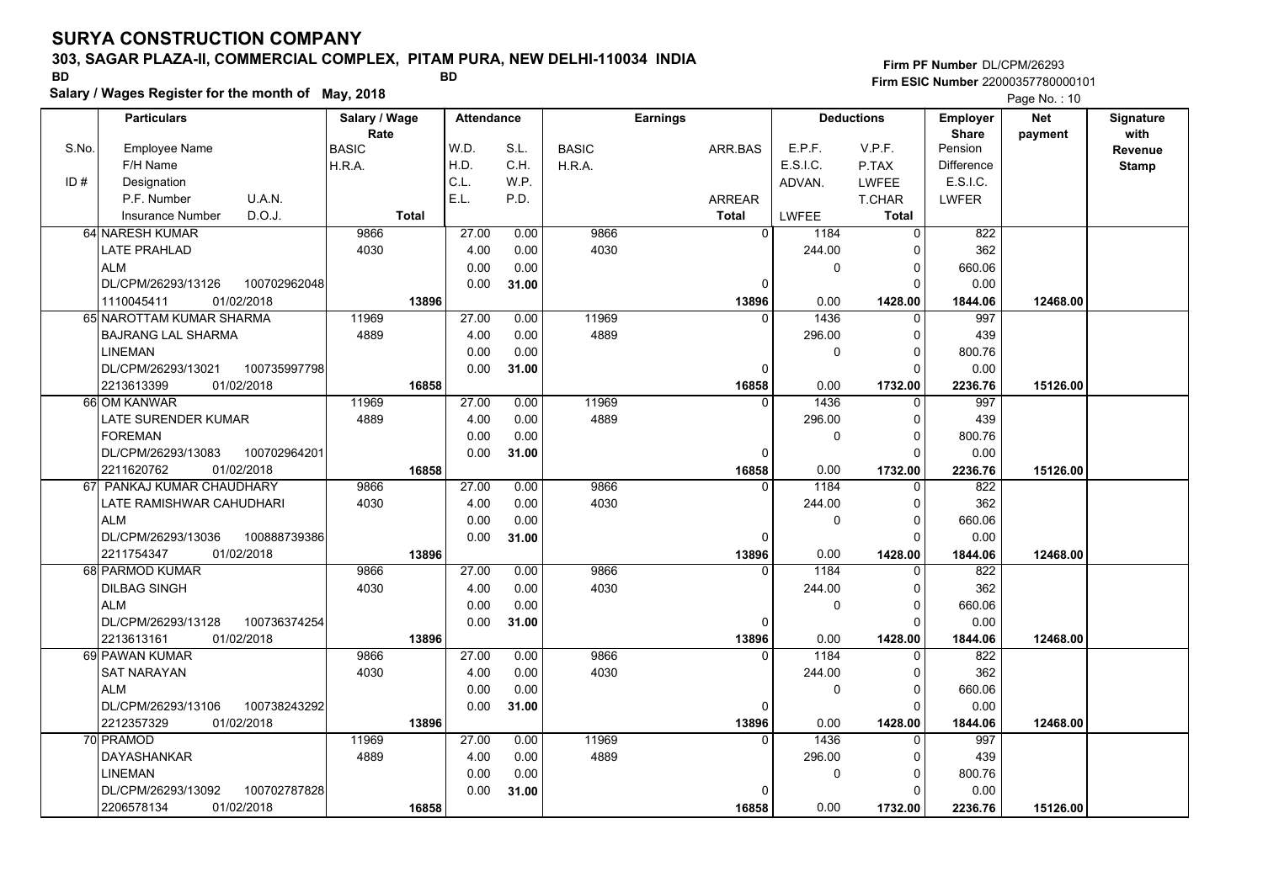### **303, SAGAR PLAZA-II, COMMERCIAL COMPLEX, PITAM PURA, NEW DELHI-110034 INDIA**

**Salary / Wages Register for the month of May, 2018 BD BD**

### **Firm PF Number**DL/CPM/26293**Firm ESIC Number** 22000357780000101

|       | <b>Particulars</b>                 | Salary / Wage        | <b>Attendance</b> |       |              | <b>Earnings</b> |                        | <b>Deductions</b> | <b>Employer</b>         | <b>Net</b> | Signature       |
|-------|------------------------------------|----------------------|-------------------|-------|--------------|-----------------|------------------------|-------------------|-------------------------|------------|-----------------|
| S.No. | Employee Name                      | Rate<br><b>BASIC</b> | W.D.              | S.L.  | <b>BASIC</b> | ARR.BAS         | E.P.F.                 | V.P.F.            | <b>Share</b><br>Pension | payment    | with<br>Revenue |
|       | F/H Name                           | H.R.A.               | H.D.              | C.H.  | H.R.A.       |                 | E.S.I.C.               | P.TAX             | <b>Difference</b>       |            | <b>Stamp</b>    |
| ID#   | Designation                        |                      | C.L.              | W.P.  |              |                 | ADVAN.                 | <b>LWFEE</b>      | E.S.I.C.                |            |                 |
|       | U.A.N.<br>P.F. Number              |                      | E.L.              | P.D.  |              | ARREAR          |                        | T.CHAR            | <b>LWFER</b>            |            |                 |
|       | D.O.J.<br><b>Insurance Number</b>  | <b>Total</b>         |                   |       |              | <b>Total</b>    | <b>LWFEE</b>           | <b>Total</b>      |                         |            |                 |
|       | 64 NARESH KUMAR                    | 9866                 | 27.00             | 0.00  | 9866         |                 | $\overline{0}$<br>1184 | $\mathbf 0$       | 822                     |            |                 |
|       | <b>LATE PRAHLAD</b>                | 4030                 | 4.00              | 0.00  | 4030         |                 | 244.00                 | $\Omega$          | 362                     |            |                 |
|       | <b>ALM</b>                         |                      | 0.00              | 0.00  |              |                 |                        | 0<br>$\Omega$     | 660.06                  |            |                 |
|       | DL/CPM/26293/13126<br>100702962048 |                      | 0.00              | 31.00 |              |                 | $\Omega$               | $\Omega$          | 0.00                    |            |                 |
|       | 01/02/2018<br>1110045411           | 13896                |                   |       |              | 13896           | 0.00                   | 1428.00           | 1844.06                 | 12468.00   |                 |
|       | 65 NAROTTAM KUMAR SHARMA           | 11969                | 27.00             | 0.00  | 11969        |                 | 1436<br>$\Omega$       | $\Omega$          | 997                     |            |                 |
|       | <b>BAJRANG LAL SHARMA</b>          | 4889                 | 4.00              | 0.00  | 4889         |                 | 296.00                 | 0                 | 439                     |            |                 |
|       | <b>LINEMAN</b>                     |                      | 0.00              | 0.00  |              |                 |                        | $\Omega$<br>0     | 800.76                  |            |                 |
|       | DL/CPM/26293/13021<br>100735997798 |                      | 0.00              | 31.00 |              |                 | $\Omega$               | $\Omega$          | 0.00                    |            |                 |
|       | 01/02/2018<br>2213613399           | 16858                |                   |       |              | 16858           | 0.00                   | 1732.00           | 2236.76                 | 15126.00   |                 |
|       | 66 OM KANWAR                       | 11969                | 27.00             | 0.00  | 11969        |                 | 1436<br>$\mathbf{0}$   | 0                 | 997                     |            |                 |
|       | LATE SURENDER KUMAR                | 4889                 | 4.00              | 0.00  | 4889         |                 | 296.00                 | $\Omega$          | 439                     |            |                 |
|       | <b>FOREMAN</b>                     |                      | 0.00              | 0.00  |              |                 |                        | $\Omega$<br>0     | 800.76                  |            |                 |
|       | DL/CPM/26293/13083<br>100702964201 |                      | 0.00              | 31.00 |              |                 | 0                      | $\Omega$          | 0.00                    |            |                 |
|       | 2211620762<br>01/02/2018           | 16858                |                   |       |              | 16858           | 0.00                   | 1732.00           | 2236.76                 | 15126.00   |                 |
|       | 67 PANKAJ KUMAR CHAUDHARY          | 9866                 | 27.00             | 0.00  | 9866         |                 | $\Omega$<br>1184       | $\Omega$          | 822                     |            |                 |
|       | LATE RAMISHWAR CAHUDHARI           | 4030                 | 4.00              | 0.00  | 4030         |                 | 244.00                 | $\Omega$          | 362                     |            |                 |
|       | <b>ALM</b>                         |                      | 0.00              | 0.00  |              |                 |                        | 0<br>$\Omega$     | 660.06                  |            |                 |
|       | DL/CPM/26293/13036<br>100888739386 |                      | 0.00              | 31.00 |              |                 | 0                      | $\Omega$          | 0.00                    |            |                 |
|       | 2211754347<br>01/02/2018           | 13896                |                   |       |              | 13896           | 0.00                   | 1428.00           | 1844.06                 | 12468.00   |                 |
|       | 68 PARMOD KUMAR                    | 9866                 | 27.00             | 0.00  | 9866         |                 | 1184<br>$\Omega$       | $\Omega$          | 822                     |            |                 |
|       | <b>DILBAG SINGH</b>                | 4030                 | 4.00              | 0.00  | 4030         |                 | 244.00                 | $\Omega$          | 362                     |            |                 |
|       | <b>ALM</b>                         |                      | 0.00              | 0.00  |              |                 |                        | $\mathbf 0$<br>0  | 660.06                  |            |                 |
|       | DL/CPM/26293/13128<br>100736374254 |                      | 0.00              | 31.00 |              |                 | $\mathbf 0$            | $\Omega$          | 0.00                    |            |                 |
|       | 01/02/2018<br>2213613161           | 13896                |                   |       |              | 13896           | 0.00                   | 1428.00           | 1844.06                 | 12468.00   |                 |
|       | 69 PAWAN KUMAR                     | 9866                 | 27.00             | 0.00  | 9866         |                 | 1184<br>$\Omega$       | $\Omega$          | 822                     |            |                 |
|       | <b>SAT NARAYAN</b>                 | 4030                 | 4.00              | 0.00  | 4030         |                 | 244.00                 | $\Omega$          | 362                     |            |                 |
|       | <b>ALM</b>                         |                      | 0.00              | 0.00  |              |                 |                        | 0<br>$\Omega$     | 660.06                  |            |                 |
|       | 100738243292<br>DL/CPM/26293/13106 |                      | 0.00              | 31.00 |              |                 | 0                      | $\Omega$          | 0.00                    |            |                 |
|       | 2212357329<br>01/02/2018           | 13896                |                   |       |              | 13896           | 0.00                   | 1428.00           | 1844.06                 | 12468.00   |                 |
|       | 70 PRAMOD                          | 11969                | 27.00             | 0.00  | 11969        |                 | 1436<br>$\Omega$       | $\Omega$          | 997                     |            |                 |
|       | DAYASHANKAR                        | 4889                 | 4.00              | 0.00  | 4889         |                 | 296.00                 | $\Omega$          | 439                     |            |                 |
|       | <b>LINEMAN</b>                     |                      | 0.00              | 0.00  |              |                 |                        | $\Omega$<br>0     | 800.76                  |            |                 |
|       | DL/CPM/26293/13092<br>100702787828 |                      | 0.00              | 31.00 |              |                 | $\Omega$               | $\Omega$          | 0.00                    |            |                 |
|       | 2206578134<br>01/02/2018           | 16858                |                   |       |              | 16858           | 0.00                   | 1732.00           | 2236.76                 | 15126.00   |                 |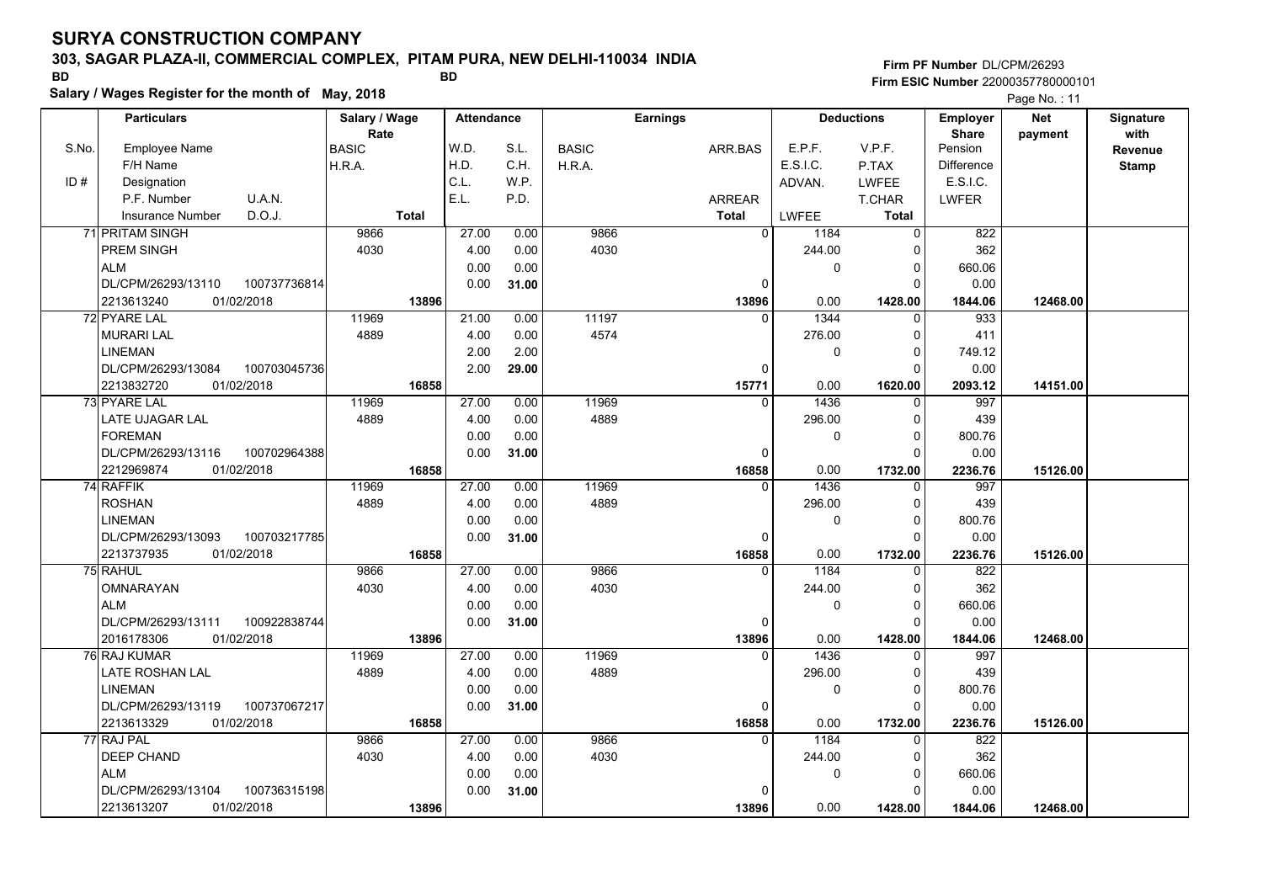### **303, SAGAR PLAZA-II, COMMERCIAL COMPLEX, PITAM PURA, NEW DELHI-110034 INDIA**

**Salary / Wages Register for the month of May, 2018 BD BD**

**Firm PF Number**DL/CPM/26293**Firm ESIC Number** 22000357780000101

|       | <b>Particulars</b>                             |              | Salary / Wage |              | <b>Attendance</b> |       |              | <b>Earnings</b> |                   |              | <b>Deductions</b>   | Employer                | <b>Net</b> | Signature       |
|-------|------------------------------------------------|--------------|---------------|--------------|-------------------|-------|--------------|-----------------|-------------------|--------------|---------------------|-------------------------|------------|-----------------|
| S.No. | Employee Name                                  |              | Rate<br>BASIC |              | W.D.              | S.L.  | <b>BASIC</b> | ARR.BAS         |                   | E.P.F.       | V.P.F.              | <b>Share</b><br>Pension | payment    | with<br>Revenue |
|       | F/H Name                                       |              | H.R.A.        |              | H.D.              | C.H.  | H.R.A.       |                 |                   | E.S.I.C.     | P.TAX               | <b>Difference</b>       |            | <b>Stamp</b>    |
| ID#   | Designation                                    |              |               |              | C.L.              | W.P.  |              |                 |                   | ADVAN.       | <b>LWFEE</b>        | E.S.I.C.                |            |                 |
|       | P.F. Number                                    | U.A.N.       |               |              | E.L.              | P.D.  |              | ARREAR          |                   |              | T.CHAR              | <b>LWFER</b>            |            |                 |
|       | D.O.J.<br><b>Insurance Number</b>              |              |               | <b>Total</b> |                   |       |              | <b>Total</b>    |                   | LWFEE        | Total               |                         |            |                 |
|       | 71 PRITAM SINGH                                |              | 9866          |              | 27.00             | 0.00  | 9866         |                 | $\mathbf 0$       | 1184         | $\overline{0}$      | 822                     |            |                 |
|       | PREM SINGH                                     |              | 4030          |              | 4.00              | 0.00  | 4030         |                 |                   | 244.00       | $\Omega$            | 362                     |            |                 |
|       | <b>ALM</b>                                     |              |               |              | 0.00              | 0.00  |              |                 |                   | $\mathbf 0$  | 0                   | 660.06                  |            |                 |
|       | DL/CPM/26293/13110                             | 100737736814 |               |              | 0.00              | 31.00 |              |                 | 0                 |              | $\Omega$            | 0.00                    |            |                 |
|       | 2213613240<br>01/02/2018                       |              |               | 13896        |                   |       |              |                 | 13896             | 0.00         | 1428.00             | 1844.06                 | 12468.00   |                 |
|       | 72 PYARE LAL                                   |              | 11969         |              | 21.00             | 0.00  | 11197        |                 | $\Omega$          | 1344         | $\Omega$            | 933                     |            |                 |
|       | <b>MURARI LAL</b>                              |              | 4889          |              | 4.00              | 0.00  | 4574         |                 |                   | 276.00       | $\Omega$            | 411                     |            |                 |
|       | <b>LINEMAN</b>                                 |              |               |              | 2.00              | 2.00  |              |                 |                   | $\mathbf{0}$ | $\Omega$            |                         |            |                 |
|       |                                                |              |               |              | 2.00              |       |              |                 |                   |              | $\Omega$            | 749.12                  |            |                 |
|       | DL/CPM/26293/13084<br>2213832720<br>01/02/2018 | 100703045736 |               | 16858        |                   | 29.00 |              |                 | 0<br>15771        | 0.00         | 1620.00             | 0.00<br>2093.12         | 14151.00   |                 |
|       | 73 PYARE LAL                                   |              | 11969         |              | 27.00             | 0.00  | 11969        |                 | $\Omega$          | 1436         | $\Omega$            | 997                     |            |                 |
|       | LATE UJAGAR LAL                                |              | 4889          |              | 4.00              | 0.00  | 4889         |                 |                   | 296.00       | $\Omega$            | 439                     |            |                 |
|       | <b>FOREMAN</b>                                 |              |               |              | 0.00              | 0.00  |              |                 |                   | 0            | $\Omega$            | 800.76                  |            |                 |
|       | DL/CPM/26293/13116                             |              |               |              |                   |       |              |                 |                   |              | $\Omega$            |                         |            |                 |
|       | 2212969874<br>01/02/2018                       | 100702964388 |               | 16858        | 0.00              | 31.00 |              |                 | $\Omega$<br>16858 | 0.00         | 1732.00             | 0.00<br>2236.76         | 15126.00   |                 |
|       | 74 RAFFIK                                      |              | 11969         |              | 27.00             | 0.00  | 11969        |                 | $\Omega$          | 1436         | $\Omega$            | 997                     |            |                 |
|       | <b>ROSHAN</b>                                  |              | 4889          |              | 4.00              | 0.00  | 4889         |                 |                   | 296.00       | $\Omega$            | 439                     |            |                 |
|       | <b>LINEMAN</b>                                 |              |               |              | 0.00              | 0.00  |              |                 |                   | 0            | $\Omega$            | 800.76                  |            |                 |
|       | DL/CPM/26293/13093                             | 100703217785 |               |              | 0.00              | 31.00 |              |                 | $\Omega$          |              | $\Omega$            | 0.00                    |            |                 |
|       | 2213737935<br>01/02/2018                       |              |               | 16858        |                   |       |              |                 | 16858             | 0.00         |                     |                         | 15126.00   |                 |
|       | 75 RAHUL                                       |              | 9866          |              | 27.00             | 0.00  | 9866         |                 | $\Omega$          | 1184         | 1732.00<br>$\Omega$ | 2236.76<br>822          |            |                 |
|       | <b>OMNARAYAN</b>                               |              | 4030          |              | 4.00              | 0.00  | 4030         |                 |                   | 244.00       | $\Omega$            | 362                     |            |                 |
|       | <b>ALM</b>                                     |              |               |              | 0.00              | 0.00  |              |                 |                   | $\mathbf{0}$ | $\Omega$            | 660.06                  |            |                 |
|       | DL/CPM/26293/13111                             | 100922838744 |               |              | 0.00              | 31.00 |              |                 | 0                 |              | $\Omega$            | 0.00                    |            |                 |
|       | 2016178306<br>01/02/2018                       |              |               | 13896        |                   |       |              |                 | 13896             | 0.00         | 1428.00             | 1844.06                 | 12468.00   |                 |
|       | 76 RAJ KUMAR                                   |              | 11969         |              | 27.00             | 0.00  | 11969        |                 | $\Omega$          | 1436         | $\Omega$            | 997                     |            |                 |
|       | <b>LATE ROSHAN LAL</b>                         |              | 4889          |              | 4.00              | 0.00  | 4889         |                 |                   | 296.00       | $\Omega$            | 439                     |            |                 |
|       | <b>LINEMAN</b>                                 |              |               |              | 0.00              | 0.00  |              |                 |                   | 0            | 0                   | 800.76                  |            |                 |
|       | DL/CPM/26293/13119                             | 100737067217 |               |              | 0.00              |       |              |                 | 0                 |              | $\Omega$            | 0.00                    |            |                 |
|       | 01/02/2018<br>2213613329                       |              |               |              |                   | 31.00 |              |                 |                   |              |                     |                         |            |                 |
|       | 77 RAJ PAL                                     |              | 9866          | 16858        | 27.00             | 0.00  | 9866         |                 | 16858<br>$\Omega$ | 0.00<br>1184 | 1732.00<br>$\Omega$ | 2236.76<br>822          | 15126.00   |                 |
|       |                                                |              | 4030          |              |                   |       | 4030         |                 |                   |              |                     | 362                     |            |                 |
|       | DEEP CHAND                                     |              |               |              | 4.00              | 0.00  |              |                 |                   | 244.00       | $\Omega$            |                         |            |                 |
|       | <b>ALM</b>                                     |              |               |              | 0.00              | 0.00  |              |                 |                   | 0            | $\Omega$<br>O       | 660.06                  |            |                 |
|       | DL/CPM/26293/13104                             | 100736315198 |               |              | 0.00              | 31.00 |              |                 | n                 |              |                     | 0.00                    |            |                 |
|       | 01/02/2018<br>2213613207                       |              |               | 13896        |                   |       |              |                 | 13896             | 0.00         | 1428.00             | 1844.06                 | 12468.00   |                 |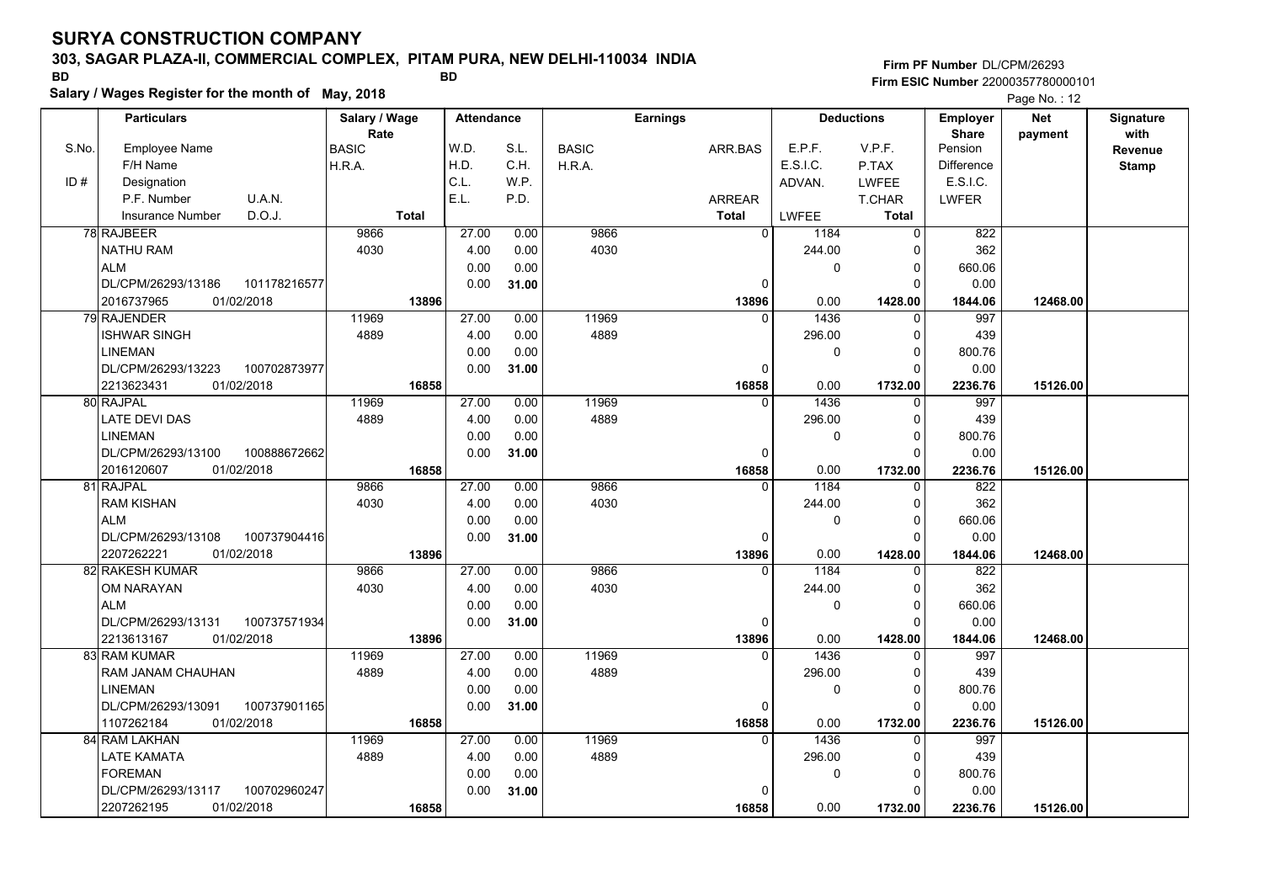### **303, SAGAR PLAZA-II, COMMERCIAL COMPLEX, PITAM PURA, NEW DELHI-110034 INDIA**

**Salary / Wages Register for the month of May, 2018 BD BD**

### **Firm PF Number**DL/CPM/26293**Firm ESIC Number** 22000357780000101

|       | <b>Particulars</b>                 | Salary / Wage        | <b>Attendance</b> |       |              | <b>Earnings</b> |              | <b>Deductions</b> | Employer                | <b>Net</b> | Signature       |
|-------|------------------------------------|----------------------|-------------------|-------|--------------|-----------------|--------------|-------------------|-------------------------|------------|-----------------|
| S.No. | Employee Name                      | Rate<br><b>BASIC</b> | W.D.              | S.L.  | <b>BASIC</b> | ARR.BAS         | E.P.F.       | V.P.F.            | <b>Share</b><br>Pension | payment    | with<br>Revenue |
|       | F/H Name                           | H.R.A.               | H.D.              | C.H.  | H.R.A.       |                 | E.S.I.C.     | P.TAX             | <b>Difference</b>       |            | <b>Stamp</b>    |
| ID#   | Designation                        |                      | C.L.              | W.P.  |              |                 | ADVAN.       | LWFEE             | E.S.I.C.                |            |                 |
|       | U.A.N.<br>P.F. Number              |                      | E.L.              | P.D.  |              | ARREAR          |              | T.CHAR            | <b>LWFER</b>            |            |                 |
|       | D.O.J.<br><b>Insurance Number</b>  | <b>Total</b>         |                   |       |              | <b>Total</b>    | <b>LWFEE</b> | <b>Total</b>      |                         |            |                 |
|       | 78 RAJBEER                         | 9866                 | 27.00             | 0.00  | 9866         | $\mathbf 0$     | 1184         | 0                 | 822                     |            |                 |
|       | <b>NATHU RAM</b>                   | 4030                 | 4.00              | 0.00  | 4030         |                 | 244.00       | $\Omega$          | 362                     |            |                 |
|       | <b>ALM</b>                         |                      | 0.00              | 0.00  |              |                 | 0            | 0                 | 660.06                  |            |                 |
|       | DL/CPM/26293/13186<br>101178216577 |                      | 0.00              | 31.00 |              | 0               |              | $\Omega$          | 0.00                    |            |                 |
|       | 2016737965<br>01/02/2018           | 13896                |                   |       |              | 13896           | 0.00         | 1428.00           | 1844.06                 | 12468.00   |                 |
|       | 79 RAJENDER                        | 11969                | 27.00             | 0.00  | 11969        | $\Omega$        | 1436         | $\Omega$          | 997                     |            |                 |
|       | <b>ISHWAR SINGH</b>                | 4889                 | 4.00              | 0.00  | 4889         |                 | 296.00       | 0                 | 439                     |            |                 |
|       | <b>LINEMAN</b>                     |                      | 0.00              | 0.00  |              |                 | 0            | 0                 | 800.76                  |            |                 |
|       | DL/CPM/26293/13223<br>100702873977 |                      | 0.00              | 31.00 |              | $\Omega$        |              | $\Omega$          | 0.00                    |            |                 |
|       | 2213623431<br>01/02/2018           | 16858                |                   |       |              | 16858           | 0.00         | 1732.00           | 2236.76                 | 15126.00   |                 |
|       | 80 RAJPAL                          | 11969                | 27.00             | 0.00  | 11969        | $\Omega$        | 1436         | $\Omega$          | 997                     |            |                 |
|       | <b>LATE DEVI DAS</b>               | 4889                 | 4.00              | 0.00  | 4889         |                 | 296.00       | $\Omega$          | 439                     |            |                 |
|       | <b>LINEMAN</b>                     |                      | 0.00              | 0.00  |              |                 | 0            | $\Omega$          | 800.76                  |            |                 |
|       | DL/CPM/26293/13100<br>100888672662 |                      | 0.00              | 31.00 |              | $\Omega$        |              | $\Omega$          | 0.00                    |            |                 |
|       | 01/02/2018<br>2016120607           | 16858                |                   |       |              | 16858           | 0.00         | 1732.00           | 2236.76                 | 15126.00   |                 |
|       | 81 RAJPAL                          | 9866                 | 27.00             | 0.00  | 9866         | $\Omega$        | 1184         | 0                 | 822                     |            |                 |
|       | <b>RAM KISHAN</b>                  | 4030                 | 4.00              | 0.00  | 4030         |                 | 244.00       | 0                 | 362                     |            |                 |
|       | <b>ALM</b>                         |                      | 0.00              | 0.00  |              |                 | 0            | 0                 | 660.06                  |            |                 |
|       | DL/CPM/26293/13108<br>100737904416 |                      | 0.00              | 31.00 |              | $\Omega$        |              | $\Omega$          | 0.00                    |            |                 |
|       | 2207262221<br>01/02/2018           | 13896                |                   |       |              | 13896           | 0.00         | 1428.00           | 1844.06                 | 12468.00   |                 |
|       | 82 RAKESH KUMAR                    | 9866                 | 27.00             | 0.00  | 9866         | $\Omega$        | 1184         | $\Omega$          | 822                     |            |                 |
|       | OM NARAYAN                         | 4030                 | 4.00              | 0.00  | 4030         |                 | 244.00       | $\Omega$          | 362                     |            |                 |
|       | <b>ALM</b>                         |                      | 0.00              | 0.00  |              |                 | $\mathbf 0$  | $\Omega$          | 660.06                  |            |                 |
|       | 100737571934<br>DL/CPM/26293/13131 |                      | 0.00              | 31.00 |              | $\Omega$        |              | $\Omega$          | 0.00                    |            |                 |
|       | 01/02/2018<br>2213613167           | 13896                |                   |       |              | 13896           | 0.00         | 1428.00           | 1844.06                 | 12468.00   |                 |
|       | 83 RAM KUMAR                       | 11969                | 27.00             | 0.00  | 11969        | $\Omega$        | 1436         | $\Omega$          | 997                     |            |                 |
|       | RAM JANAM CHAUHAN                  | 4889                 | 4.00              | 0.00  | 4889         |                 | 296.00       | 0                 | 439                     |            |                 |
|       | <b>LINEMAN</b>                     |                      | 0.00              | 0.00  |              |                 | $\mathbf 0$  | $\Omega$          | 800.76                  |            |                 |
|       | DL/CPM/26293/13091<br>100737901165 |                      | 0.00              | 31.00 |              | $\mathbf 0$     |              | $\Omega$          | 0.00                    |            |                 |
|       | 1107262184<br>01/02/2018           | 16858                |                   |       |              | 16858           | 0.00         | 1732.00           | 2236.76                 | 15126.00   |                 |
|       | 84 RAM LAKHAN                      | 11969                | 27.00             | 0.00  | 11969        | $\Omega$        | 1436         | $\Omega$          | 997                     |            |                 |
|       | LATE KAMATA                        | 4889                 | 4.00              | 0.00  | 4889         |                 | 296.00       | $\Omega$          | 439                     |            |                 |
|       | <b>FOREMAN</b>                     |                      | 0.00              | 0.00  |              |                 | 0            | 0                 | 800.76                  |            |                 |
|       | DL/CPM/26293/13117<br>100702960247 |                      | 0.00              | 31.00 |              |                 |              | O                 | 0.00                    |            |                 |
|       | 2207262195<br>01/02/2018           | 16858                |                   |       |              | 16858           | 0.00         | 1732.00           | 2236.76                 | 15126.00   |                 |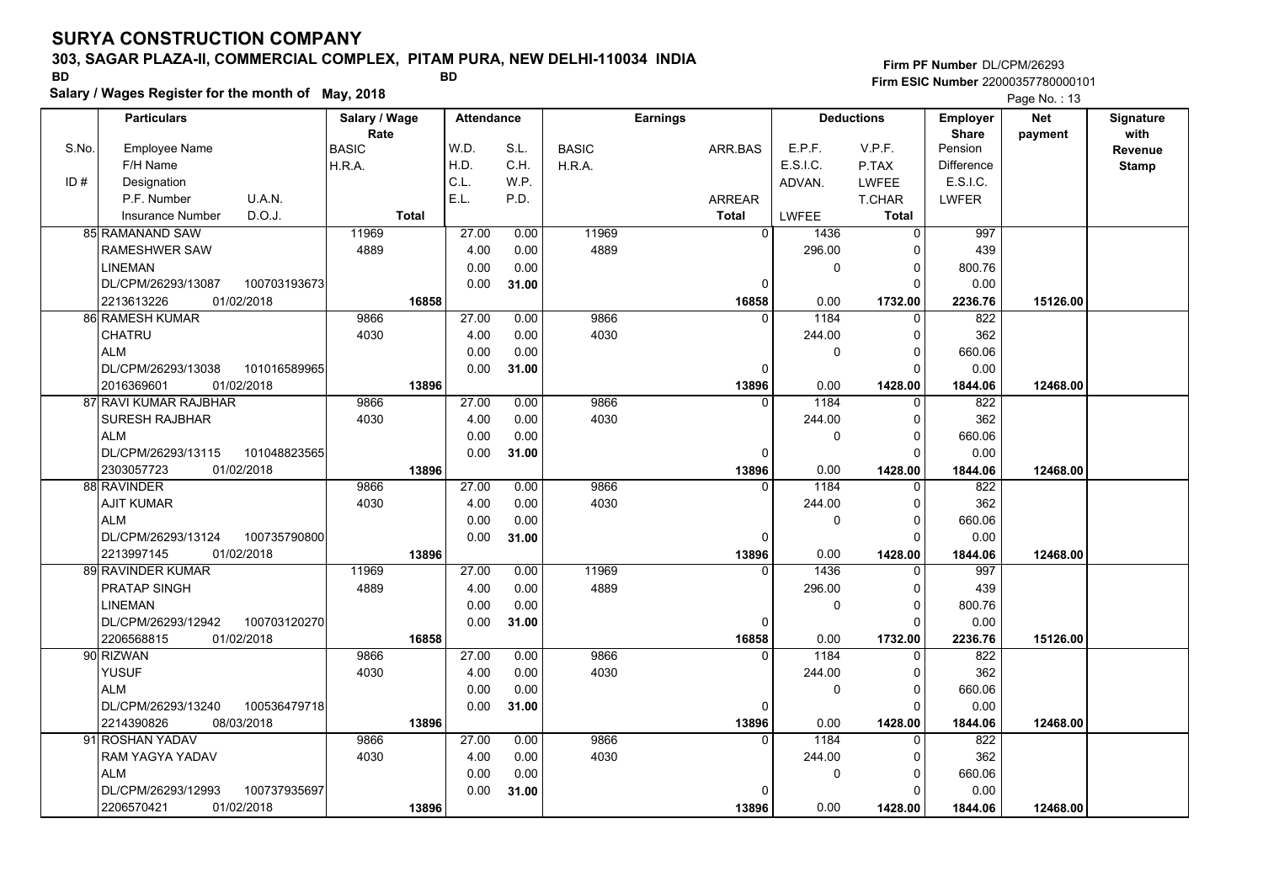### **303, SAGAR PLAZA-II, COMMERCIAL COMPLEX, PITAM PURA, NEW DELHI-110034 INDIA**

**Salary / Wages Register for the month of May, 2018 BD BD**

### **Firm PF Number**DL/CPM/26293**Firm ESIC Number** 22000357780000101

|       | <b>Particulars</b>       |              | Salary / Wage |              | <b>Attendance</b> |       | <b>Earnings</b> |  |               |              | <b>Deductions</b> | <b>Employer</b>   | <b>Net</b> | Signature    |
|-------|--------------------------|--------------|---------------|--------------|-------------------|-------|-----------------|--|---------------|--------------|-------------------|-------------------|------------|--------------|
|       |                          |              | Rate          |              |                   |       |                 |  |               |              |                   | <b>Share</b>      | payment    | with         |
| S.No. | Employee Name            |              | <b>BASIC</b>  |              | W.D.              | S.L.  | <b>BASIC</b>    |  | ARR.BAS       | E.P.F.       | V.P.F.            | Pension           |            | Revenue      |
|       | F/H Name                 |              | H.R.A.        |              | H.D.              | C.H.  | H.R.A.          |  |               | E.S.I.C.     | P.TAX             | <b>Difference</b> |            | <b>Stamp</b> |
| ID#   | Designation              |              |               |              | C.L.              | W.P.  |                 |  |               | ADVAN.       | LWFEE             | E.S.I.C.          |            |              |
|       | P.F. Number              | U.A.N.       |               |              | E.L.              | P.D.  |                 |  | <b>ARREAR</b> |              | T.CHAR            | <b>LWFER</b>      |            |              |
|       | <b>Insurance Number</b>  | D.O.J.       |               | <b>Total</b> |                   |       |                 |  | <b>Total</b>  | LWFEE        | Total             |                   |            |              |
|       | 85 RAMANAND SAW          |              | 11969         |              | 27.00             | 0.00  | 11969           |  | $\Omega$      | 1436         | $\Omega$          | 997               |            |              |
|       | RAMESHWER SAW            |              | 4889          |              | 4.00              | 0.00  | 4889            |  |               | 296.00       | $\Omega$          | 439               |            |              |
|       | <b>LINEMAN</b>           |              |               |              | 0.00              | 0.00  |                 |  |               | 0            | 0                 | 800.76            |            |              |
|       | DL/CPM/26293/13087       | 100703193673 |               |              | 0.00              | 31.00 |                 |  | 0             |              | $\Omega$          | 0.00              |            |              |
|       | 01/02/2018<br>2213613226 |              |               | 16858        |                   |       |                 |  | 16858         | 0.00         | 1732.00           | 2236.76           | 15126.00   |              |
|       | <b>86 RAMESH KUMAR</b>   |              | 9866          |              | 27.00             | 0.00  | 9866            |  | $\Omega$      | 1184         | $\Omega$          | 822               |            |              |
|       | CHATRU                   |              | 4030          |              | 4.00              | 0.00  | 4030            |  |               | 244.00       | $\Omega$          | 362               |            |              |
|       | <b>ALM</b>               |              |               |              | 0.00              | 0.00  |                 |  |               | $\mathbf{0}$ | 0                 | 660.06            |            |              |
|       | DL/CPM/26293/13038       | 101016589965 |               |              | 0.00              | 31.00 |                 |  | $\mathbf 0$   |              | $\Omega$          | 0.00              |            |              |
|       | 01/02/2018<br>2016369601 |              |               | 13896        |                   |       |                 |  | 13896         | 0.00         | 1428.00           | 1844.06           | 12468.00   |              |
|       | 87 RAVI KUMAR RAJBHAR    |              | 9866          |              | 27.00             | 0.00  | 9866            |  | $\Omega$      | 1184         | $\Omega$          | 822               |            |              |
|       | <b>SURESH RAJBHAR</b>    |              | 4030          |              | 4.00              | 0.00  | 4030            |  |               | 244.00       | 0                 | 362               |            |              |
|       | <b>ALM</b>               |              |               |              | 0.00              | 0.00  |                 |  |               | $\mathbf{0}$ | $\Omega$          | 660.06            |            |              |
|       | DL/CPM/26293/13115       | 101048823565 |               |              | 0.00              | 31.00 |                 |  | $\Omega$      |              | $\Omega$          | 0.00              |            |              |
|       | 01/02/2018<br>2303057723 |              |               | 13896        |                   |       |                 |  | 13896         | 0.00         | 1428.00           | 1844.06           | 12468.00   |              |
|       | 88 RAVINDER              |              | 9866          |              | 27.00             | 0.00  | 9866            |  | 0             | 1184         | $\mathbf 0$       | 822               |            |              |
|       | <b>AJIT KUMAR</b>        |              | 4030          |              | 4.00              | 0.00  | 4030            |  |               | 244.00       | 0                 | 362               |            |              |
|       | <b>ALM</b>               |              |               |              | 0.00              | 0.00  |                 |  |               | $\Omega$     | $\Omega$          | 660.06            |            |              |
|       | DL/CPM/26293/13124       | 100735790800 |               |              | 0.00              | 31.00 |                 |  | 0             |              | $\Omega$          | 0.00              |            |              |
|       | 01/02/2018<br>2213997145 |              |               | 13896        |                   |       |                 |  | 13896         | 0.00         | 1428.00           | 1844.06           | 12468.00   |              |
|       | 89 RAVINDER KUMAR        |              | 11969         |              | 27.00             | 0.00  | 11969           |  | $\Omega$      | 1436         | $\Omega$          | 997               |            |              |
|       | <b>PRATAP SINGH</b>      |              | 4889          |              | 4.00              | 0.00  | 4889            |  |               | 296.00       | 0                 | 439               |            |              |
|       | <b>LINEMAN</b>           |              |               |              | 0.00              | 0.00  |                 |  |               | $\Omega$     | $\Omega$          | 800.76            |            |              |
|       | DL/CPM/26293/12942       | 100703120270 |               |              | 0.00              | 31.00 |                 |  | $\mathbf 0$   |              | $\Omega$          | 0.00              |            |              |
|       | 2206568815<br>01/02/2018 |              |               | 16858        |                   |       |                 |  | 16858         | 0.00         | 1732.00           | 2236.76           | 15126.00   |              |
|       | 90 RIZWAN                |              | 9866          |              | 27.00             | 0.00  | 9866            |  | $\Omega$      | 1184         | $\Omega$          | 822               |            |              |
|       | <b>YUSUF</b>             |              | 4030          |              | 4.00              | 0.00  | 4030            |  |               | 244.00       | 0                 | 362               |            |              |
|       | <b>ALM</b>               |              |               |              | 0.00              | 0.00  |                 |  |               | $\mathbf 0$  | 0                 | 660.06            |            |              |
|       | DL/CPM/26293/13240       | 100536479718 |               |              | 0.00              | 31.00 |                 |  | $\mathbf{0}$  |              | $\Omega$          | 0.00              |            |              |
|       | 2214390826<br>08/03/2018 |              |               | 13896        |                   |       |                 |  | 13896         | 0.00         | 1428.00           | 1844.06           | 12468.00   |              |
|       | 91 ROSHAN YADAV          |              | 9866          |              | 27.00             | 0.00  | 9866            |  | $\Omega$      | 1184         | $\Omega$          | 822               |            |              |
|       | RAM YAGYA YADAV          |              | 4030          |              | 4.00              | 0.00  | 4030            |  |               | 244.00       | $\Omega$          | 362               |            |              |
|       | <b>ALM</b>               |              |               |              | 0.00              | 0.00  |                 |  |               | $\mathbf 0$  | 0                 | 660.06            |            |              |
|       | DL/CPM/26293/12993       | 100737935697 |               |              | 0.00              | 31.00 |                 |  | $\Omega$      |              | $\Omega$          | 0.00              |            |              |
|       | 01/02/2018<br>2206570421 |              |               | 13896        |                   |       |                 |  | 13896         | 0.00         | 1428.00           | 1844.06           | 12468.00   |              |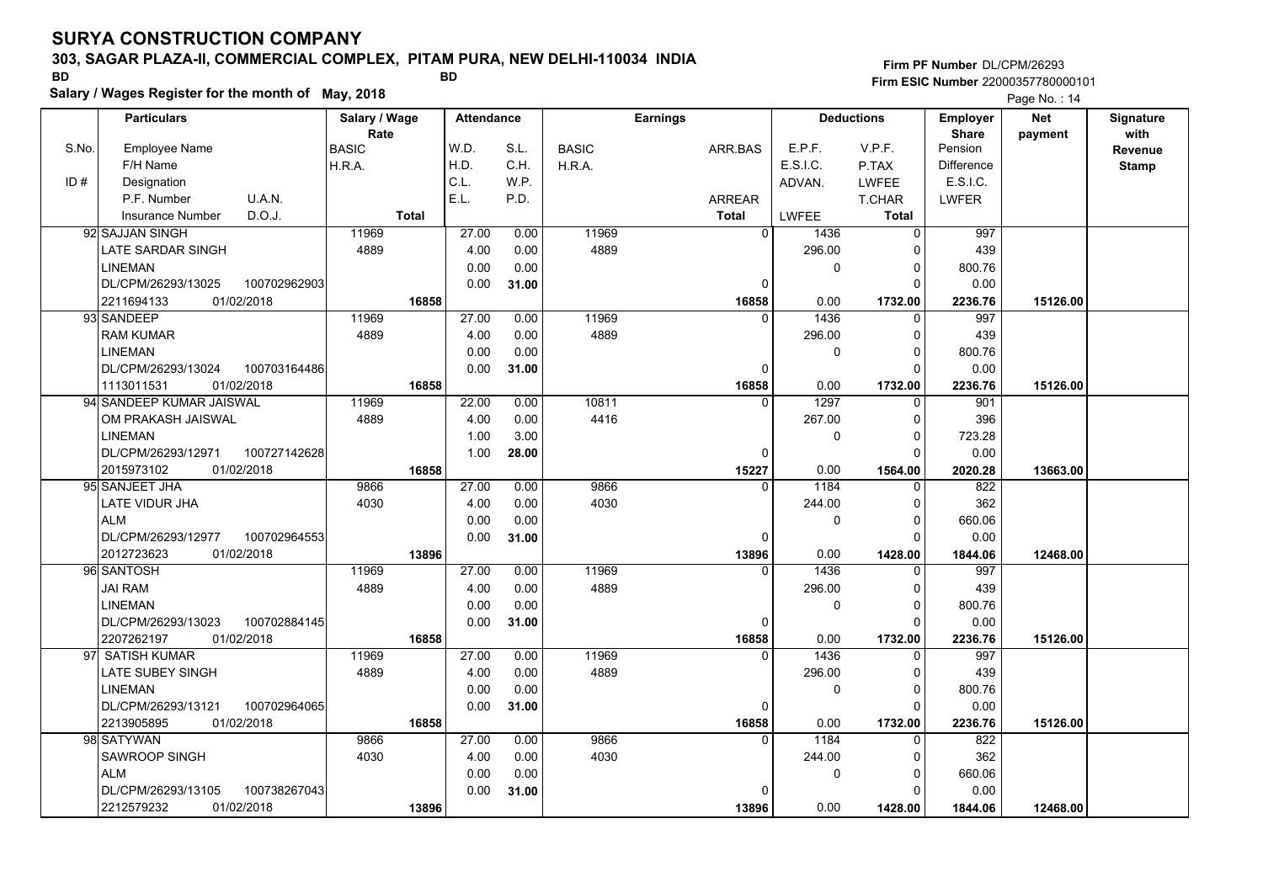### **303, SAGAR PLAZA-II, COMMERCIAL COMPLEX, PITAM PURA, NEW DELHI-110034 INDIA**

**Salary / Wages Register for the month of May, 2018 BD BD**

**Firm PF Number**DL/CPM/26293**Firm ESIC Number** 22000357780000101

|       | <b>Particulars</b>                 | Salary / Wage        | <b>Attendance</b> |       |              | <b>Earnings</b> |              | <b>Deductions</b> | Employer                | <b>Net</b> | Signature<br>with |
|-------|------------------------------------|----------------------|-------------------|-------|--------------|-----------------|--------------|-------------------|-------------------------|------------|-------------------|
| S.No. | Employee Name                      | Rate<br><b>BASIC</b> | W.D.              | S.L.  | <b>BASIC</b> | ARR.BAS         | E.P.F.       | V.P.F.            | <b>Share</b><br>Pension | payment    | Revenue           |
|       | F/H Name                           | H.R.A.               | H.D.              | C.H.  | H.R.A.       |                 | E.S.I.C.     | P.TAX             | <b>Difference</b>       |            | <b>Stamp</b>      |
| ID#   | Designation                        |                      | C.L.              | W.P.  |              |                 | ADVAN.       | <b>LWFEE</b>      | E.S.I.C.                |            |                   |
|       | U.A.N.<br>P.F. Number              |                      | E.L.              | P.D.  |              | ARREAR          |              | T.CHAR            | <b>LWFER</b>            |            |                   |
|       | D.O.J.<br><b>Insurance Number</b>  | <b>Total</b>         |                   |       |              | <b>Total</b>    | <b>LWFEE</b> | Total             |                         |            |                   |
|       | 92 SAJJAN SINGH                    | 11969                | 27.00             | 0.00  | 11969        | $\overline{0}$  | 1436         | 0                 | 997                     |            |                   |
|       | LATE SARDAR SINGH                  | 4889                 | 4.00              | 0.00  | 4889         |                 | 296.00       | $\Omega$          | 439                     |            |                   |
|       | <b>LINEMAN</b>                     |                      | 0.00              | 0.00  |              |                 | $\mathbf 0$  | 0                 | 800.76                  |            |                   |
|       | DL/CPM/26293/13025<br>100702962903 |                      | 0.00              | 31.00 |              | $\mathbf 0$     |              | $\Omega$          | 0.00                    |            |                   |
|       | 2211694133<br>01/02/2018           | 16858                |                   |       |              | 16858           | 0.00         | 1732.00           | 2236.76                 | 15126.00   |                   |
|       | 93 SANDEEP                         | 11969                | 27.00             | 0.00  | 11969        | $\Omega$        | 1436         | $\Omega$          | 997                     |            |                   |
|       | <b>RAM KUMAR</b>                   | 4889                 | 4.00              | 0.00  | 4889         |                 | 296.00       | 0                 | 439                     |            |                   |
|       | <b>LINEMAN</b>                     |                      | 0.00              | 0.00  |              |                 | $\mathbf 0$  | $\Omega$          | 800.76                  |            |                   |
|       | DL/CPM/26293/13024<br>100703164486 |                      | 0.00              | 31.00 |              | 0               |              | $\Omega$          | 0.00                    |            |                   |
|       | 01/02/2018<br>1113011531           | 16858                |                   |       |              | 16858           | 0.00         | 1732.00           | 2236.76                 | 15126.00   |                   |
|       | 94 SANDEEP KUMAR JAISWAL           | 11969                | 22.00             | 0.00  | 10811        | $\Omega$        | 1297         | $\mathbf{0}$      | 901                     |            |                   |
|       | OM PRAKASH JAISWAL                 | 4889                 | 4.00              | 0.00  | 4416         |                 | 267.00       | $\Omega$          | 396                     |            |                   |
|       | <b>LINEMAN</b>                     |                      | 1.00              | 3.00  |              |                 | $\mathbf 0$  | $\Omega$          | 723.28                  |            |                   |
|       | DL/CPM/26293/12971<br>100727142628 |                      | 1.00              | 28.00 |              | $\Omega$        |              | $\Omega$          | 0.00                    |            |                   |
|       | 2015973102<br>01/02/2018           | 16858                |                   |       |              | 15227           | 0.00         | 1564.00           | 2020.28                 | 13663.00   |                   |
|       | 95 SANJEET JHA                     | 9866                 | 27.00             | 0.00  | 9866         |                 | 1184         | $\Omega$          | 822                     |            |                   |
|       | LATE VIDUR JHA                     | 4030                 | 4.00              | 0.00  | 4030         |                 | 244.00       | $\Omega$          | 362                     |            |                   |
|       | <b>ALM</b>                         |                      | 0.00              | 0.00  |              |                 | 0            | $\Omega$          | 660.06                  |            |                   |
|       | DL/CPM/26293/12977<br>100702964553 |                      | 0.00              | 31.00 |              | $\Omega$        |              | $\Omega$          | 0.00                    |            |                   |
|       | 2012723623<br>01/02/2018           | 13896                |                   |       |              | 13896           | 0.00         | 1428.00           | 1844.06                 | 12468.00   |                   |
|       | 96 SANTOSH                         | 11969                | 27.00             | 0.00  | 11969        | $\Omega$        | 1436         | O                 | 997                     |            |                   |
|       | <b>JAI RAM</b>                     | 4889                 | 4.00              | 0.00  | 4889         |                 | 296.00       | 0                 | 439                     |            |                   |
|       | <b>LINEMAN</b>                     |                      | 0.00              | 0.00  |              |                 | $\mathbf 0$  | 0                 | 800.76                  |            |                   |
|       | 100702884145<br>DL/CPM/26293/13023 |                      | 0.00              | 31.00 |              | 0               |              | $\Omega$          | 0.00                    |            |                   |
|       | 2207262197<br>01/02/2018           | 16858                |                   |       |              | 16858           | 0.00         | 1732.00           | 2236.76                 | 15126.00   |                   |
|       | 97 SATISH KUMAR                    | 11969                | 27.00             | 0.00  | 11969        | $\Omega$        | 1436         | $\Omega$          | 997                     |            |                   |
|       | <b>LATE SUBEY SINGH</b>            | 4889                 | 4.00              | 0.00  | 4889         |                 | 296.00       | $\Omega$          | 439                     |            |                   |
|       | <b>LINEMAN</b>                     |                      | 0.00              | 0.00  |              |                 | $\mathbf 0$  | $\Omega$          | 800.76                  |            |                   |
|       | 100702964065<br>DL/CPM/26293/13121 |                      | 0.00              | 31.00 |              | 0               |              | $\Omega$          | 0.00                    |            |                   |
|       | 01/02/2018<br>2213905895           | 16858                |                   |       |              | 16858           | 0.00         | 1732.00           | 2236.76                 | 15126.00   |                   |
|       | 98 SATYWAN                         | 9866                 | 27.00             | 0.00  | 9866         | $\Omega$        | 1184         | $\Omega$          | 822                     |            |                   |
|       | SAWROOP SINGH                      | 4030                 | 4.00              | 0.00  | 4030         |                 | 244.00       | $\Omega$          | 362                     |            |                   |
|       | <b>ALM</b>                         |                      | 0.00              | 0.00  |              |                 | $\pmb{0}$    | 0                 | 660.06                  |            |                   |
|       | 100738267043<br>DL/CPM/26293/13105 |                      | 0.00              | 31.00 |              | $\Omega$        |              | ŋ                 | 0.00                    |            |                   |
|       | 01/02/2018<br>2212579232           | 13896                |                   |       |              | 13896           | 0.00         | 1428.00           | 1844.06                 | 12468.00   |                   |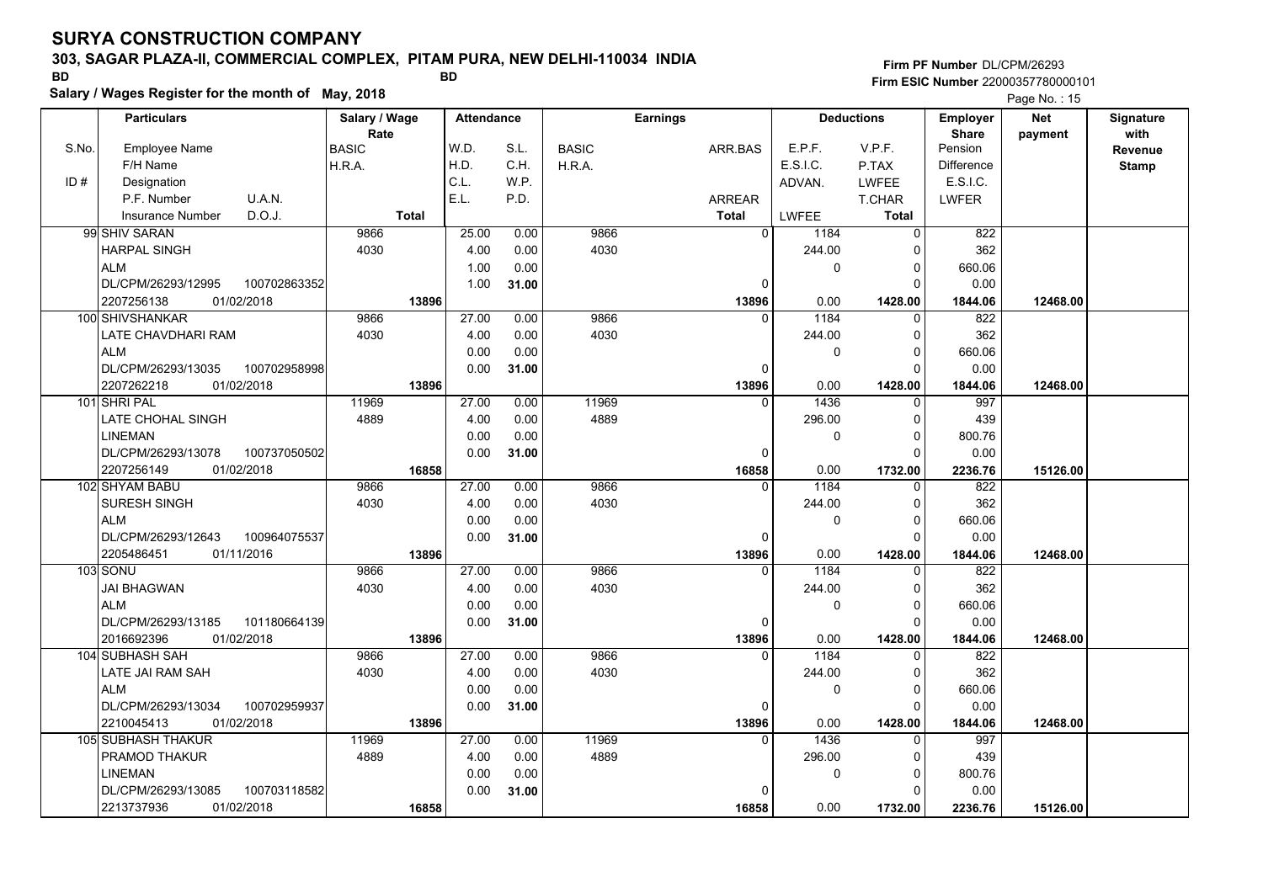### **303, SAGAR PLAZA-II, COMMERCIAL COMPLEX, PITAM PURA, NEW DELHI-110034 INDIA**

**Salary / Wages Register for the month of May, 2018 BD BD**

### **Firm PF Number**DL/CPM/26293**Firm ESIC Number** 22000357780000101

|       | <b>Particulars</b>        |              | Salary / Wage<br><b>Attendance</b> |              | <b>Earnings</b> |       |              |               | <b>Deductions</b> | <b>Employer</b> | <b>Net</b>   | Signature               |          |                 |
|-------|---------------------------|--------------|------------------------------------|--------------|-----------------|-------|--------------|---------------|-------------------|-----------------|--------------|-------------------------|----------|-----------------|
| S.No. | Employee Name             |              | Rate<br><b>BASIC</b>               |              | W.D.            | S.L.  | <b>BASIC</b> | ARR.BAS       |                   | E.P.F.          | V.P.F.       | <b>Share</b><br>Pension | payment  | with<br>Revenue |
|       | F/H Name                  |              | H.R.A.                             |              | H.D.            | C.H.  | H.R.A.       |               |                   | E.S.I.C.        | P.TAX        | Difference              |          | <b>Stamp</b>    |
| ID#   | Designation               |              |                                    |              | C.L.            | W.P.  |              |               |                   | ADVAN.          | LWFEE        | E.S.I.C.                |          |                 |
|       | P.F. Number               | U.A.N.       |                                    |              | E.L.            | P.D.  |              | <b>ARREAR</b> |                   |                 | T.CHAR       | <b>LWFER</b>            |          |                 |
|       | <b>Insurance Number</b>   | D.O.J.       |                                    | <b>Total</b> |                 |       |              | <b>Total</b>  |                   | LWFEE           | Total        |                         |          |                 |
|       | 99 SHIV SARAN             |              | 9866                               |              | 25.00           | 0.00  | 9866         |               | $\Omega$          | 1184            | $\mathbf 0$  | 822                     |          |                 |
|       | <b>HARPAL SINGH</b>       |              | 4030                               |              | 4.00            | 0.00  | 4030         |               |                   | 244.00          | $\Omega$     | 362                     |          |                 |
|       | <b>ALM</b>                |              |                                    |              | 1.00            | 0.00  |              |               |                   | 0               | 0            | 660.06                  |          |                 |
|       | DL/CPM/26293/12995        | 100702863352 |                                    |              | 1.00            | 31.00 |              |               | $\mathbf 0$       |                 | $\Omega$     | 0.00                    |          |                 |
|       | 2207256138<br>01/02/2018  |              |                                    | 13896        |                 |       |              |               | 13896             | 0.00            | 1428.00      | 1844.06                 | 12468.00 |                 |
|       | 100 SHIVSHANKAR           |              | 9866                               |              | 27.00           | 0.00  | 9866         |               | $\mathbf{0}$      | 1184            | $\Omega$     | 822                     |          |                 |
|       | LATE CHAVDHARI RAM        |              | 4030                               |              | 4.00            | 0.00  | 4030         |               |                   | 244.00          | $\Omega$     | 362                     |          |                 |
|       | <b>ALM</b>                |              |                                    |              | 0.00            | 0.00  |              |               |                   | $\mathbf 0$     | 0            | 660.06                  |          |                 |
|       | DL/CPM/26293/13035        | 100702958998 |                                    |              | 0.00            | 31.00 |              |               | $\mathbf{0}$      |                 | $\Omega$     | 0.00                    |          |                 |
|       | 2207262218<br>01/02/2018  |              |                                    | 13896        |                 |       |              |               | 13896             | 0.00            | 1428.00      | 1844.06                 | 12468.00 |                 |
|       | 101 SHRI PAL              |              | 11969                              |              | 27.00           | 0.00  | 11969        |               | $\Omega$          | 1436            | $\Omega$     | 997                     |          |                 |
|       | LATE CHOHAL SINGH         |              | 4889                               |              | 4.00            | 0.00  | 4889         |               |                   | 296.00          | 0            | 439                     |          |                 |
|       | <b>LINEMAN</b>            |              |                                    |              | 0.00            | 0.00  |              |               |                   | $\mathbf 0$     | $\Omega$     | 800.76                  |          |                 |
|       | DL/CPM/26293/13078        | 100737050502 |                                    |              | 0.00            | 31.00 |              |               | $\Omega$          |                 | $\Omega$     | 0.00                    |          |                 |
|       | 01/02/2018<br>2207256149  |              |                                    | 16858        |                 |       |              |               | 16858             | 0.00            | 1732.00      | 2236.76                 | 15126.00 |                 |
|       | 102 SHYAM BABU            |              | 9866                               |              | 27.00           | 0.00  | 9866         |               | 0                 | 1184            | 0            | 822                     |          |                 |
|       | SURESH SINGH              |              | 4030                               |              | 4.00            | 0.00  | 4030         |               |                   | 244.00          | $\Omega$     | 362                     |          |                 |
|       | <b>ALM</b>                |              |                                    |              | 0.00            | 0.00  |              |               |                   | $\mathbf 0$     | $\mathbf{0}$ | 660.06                  |          |                 |
|       | DL/CPM/26293/12643        | 100964075537 |                                    |              | 0.00            | 31.00 |              |               | 0                 |                 | $\Omega$     | 0.00                    |          |                 |
|       | 2205486451<br>01/11/2016  |              |                                    | 13896        |                 |       |              |               | 13896             | 0.00            | 1428.00      | 1844.06                 | 12468.00 |                 |
|       | 103 SONU                  |              | 9866                               |              | 27.00           | 0.00  | 9866         |               | $\Omega$          | 1184            | $\Omega$     | 822                     |          |                 |
|       | <b>JAI BHAGWAN</b>        |              | 4030                               |              | 4.00            | 0.00  | 4030         |               |                   | 244.00          | $\Omega$     | 362                     |          |                 |
|       | <b>ALM</b>                |              |                                    |              | 0.00            | 0.00  |              |               |                   | $\mathbf{0}$    | 0            | 660.06                  |          |                 |
|       | DL/CPM/26293/13185        | 101180664139 |                                    |              | 0.00            | 31.00 |              |               | 0                 |                 | $\Omega$     | 0.00                    |          |                 |
|       | 2016692396<br>01/02/2018  |              |                                    | 13896        |                 |       |              |               | 13896             | 0.00            | 1428.00      | 1844.06                 | 12468.00 |                 |
|       | 104 SUBHASH SAH           |              | 9866                               |              | 27.00           | 0.00  | 9866         |               | $\Omega$          | 1184            | $\Omega$     | 822                     |          |                 |
|       | LATE JAI RAM SAH          |              | 4030                               |              | 4.00            | 0.00  | 4030         |               |                   | 244.00          | 0            | 362                     |          |                 |
|       | <b>ALM</b>                |              |                                    |              | 0.00            | 0.00  |              |               |                   | 0               | 0            | 660.06                  |          |                 |
|       | DL/CPM/26293/13034        | 100702959937 |                                    |              | 0.00            | 31.00 |              |               | $\mathbf 0$       |                 | $\Omega$     | 0.00                    |          |                 |
|       | 2210045413<br>01/02/2018  |              |                                    | 13896        |                 |       |              |               | 13896             | 0.00            | 1428.00      | 1844.06                 | 12468.00 |                 |
|       | <b>105 SUBHASH THAKUR</b> |              | 11969                              |              | 27.00           | 0.00  | 11969        |               | $\Omega$          | 1436            | $\Omega$     | 997                     |          |                 |
|       | PRAMOD THAKUR             |              | 4889                               |              | 4.00            | 0.00  | 4889         |               |                   | 296.00          | $\Omega$     | 439                     |          |                 |
|       | <b>LINEMAN</b>            |              |                                    |              | 0.00            | 0.00  |              |               |                   | $\mathbf 0$     | 0            | 800.76                  |          |                 |
|       | DL/CPM/26293/13085        | 100703118582 |                                    |              | 0.00            | 31.00 |              |               | $\Omega$          |                 | $\Omega$     | 0.00                    |          |                 |
|       | 2213737936<br>01/02/2018  |              |                                    | 16858        |                 |       |              |               | 16858             | 0.00            | 1732.00      | 2236.76                 | 15126.00 |                 |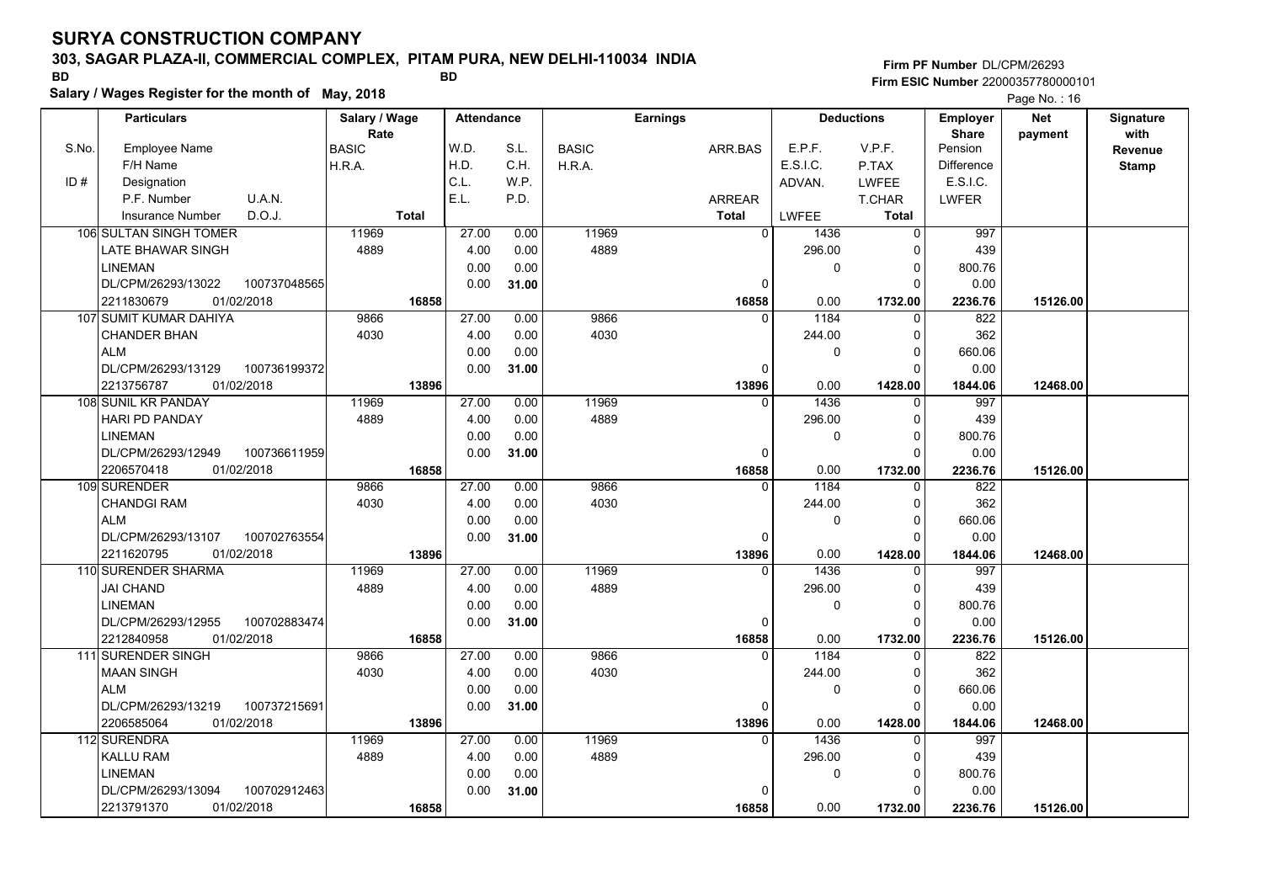### **303, SAGAR PLAZA-II, COMMERCIAL COMPLEX, PITAM PURA, NEW DELHI-110034 INDIA**

**Salary / Wages Register for the month of May, 2018 BD BD**

### **Firm PF Number**DL/CPM/26293**Firm ESIC Number** 22000357780000101

|       | <b>Particulars</b>                 | Salary / Wage          | <b>Attendance</b> |       |              | Earnings     |                        | <b>Deductions</b>     | <b>Employer</b>         | <b>Net</b> | Signature    |
|-------|------------------------------------|------------------------|-------------------|-------|--------------|--------------|------------------------|-----------------------|-------------------------|------------|--------------|
| S.No. | <b>Employee Name</b>               | Rate                   | W.D.              | S.L.  |              |              | E.P.F.                 | V.P.F.                | <b>Share</b><br>Pension | payment    | with         |
|       | F/H Name                           | <b>BASIC</b><br>H.R.A. | H.D.              | C.H.  | <b>BASIC</b> | ARR.BAS      | E.S.I.C.               |                       | <b>Difference</b>       |            | Revenue      |
| ID#   | Designation                        |                        | C.L.              | W.P.  | H.R.A.       |              | ADVAN.                 | P.TAX<br><b>LWFEE</b> | E.S.I.C.                |            | <b>Stamp</b> |
|       | U.A.N.<br>P.F. Number              |                        | E.L.              | P.D.  |              |              |                        |                       |                         |            |              |
|       | D.O.J.                             | <b>Total</b>           |                   |       |              | ARREAR       |                        | T.CHAR                | <b>LWFER</b>            |            |              |
|       | <b>Insurance Number</b>            |                        |                   |       |              | <b>Total</b> | <b>LWFEE</b>           | <b>Total</b>          |                         |            |              |
|       | 106 SULTAN SINGH TOMER             | 11969                  | 27.00             | 0.00  | 11969        |              | $\overline{0}$<br>1436 | $\mathbf 0$           | 997                     |            |              |
|       | LATE BHAWAR SINGH                  | 4889                   | 4.00              | 0.00  | 4889         |              | 296.00                 | $\Omega$              | 439                     |            |              |
|       | <b>LINEMAN</b>                     |                        | 0.00              | 0.00  |              |              | 0                      | $\Omega$              | 800.76                  |            |              |
|       | DL/CPM/26293/13022<br>100737048565 |                        | 0.00              | 31.00 |              |              | $\mathbf 0$            | $\Omega$              | 0.00                    |            |              |
|       | 01/02/2018<br>2211830679           | 16858                  |                   |       |              | 16858        | 0.00                   | 1732.00               | 2236.76                 | 15126.00   |              |
|       | 107 SUMIT KUMAR DAHIYA             | 9866                   | 27.00             | 0.00  | 9866         |              | 1184<br>$\Omega$       | $\Omega$              | 822                     |            |              |
|       | <b>CHANDER BHAN</b>                | 4030                   | 4.00              | 0.00  | 4030         |              | 244.00                 | $\Omega$              | 362                     |            |              |
|       | <b>ALM</b>                         |                        | 0.00              | 0.00  |              |              | 0                      | $\Omega$              | 660.06                  |            |              |
|       | DL/CPM/26293/13129<br>100736199372 |                        | 0.00              | 31.00 |              |              | $\Omega$               | $\Omega$              | 0.00                    |            |              |
|       | 01/02/2018<br>2213756787           | 13896                  |                   |       |              | 13896        | 0.00                   | 1428.00               | 1844.06                 | 12468.00   |              |
|       | 108 SUNIL KR PANDAY                | 11969                  | 27.00             | 0.00  | 11969        |              | 1436<br>$\Omega$       | 0                     | 997                     |            |              |
|       | <b>HARI PD PANDAY</b>              | 4889                   | 4.00              | 0.00  | 4889         |              | 296.00                 | $\Omega$              | 439                     |            |              |
|       | <b>LINEMAN</b>                     |                        | 0.00              | 0.00  |              |              | 0                      | $\Omega$              | 800.76                  |            |              |
|       | DL/CPM/26293/12949<br>100736611959 |                        | 0.00              | 31.00 |              |              | $\Omega$               | $\Omega$              | 0.00                    |            |              |
|       | 2206570418<br>01/02/2018           | 16858                  |                   |       |              | 16858        | 0.00                   | 1732.00               | 2236.76                 | 15126.00   |              |
|       | 109 SURENDER                       | 9866                   | 27.00             | 0.00  | 9866         |              | 1184<br>$\Omega$       | 0                     | 822                     |            |              |
|       | CHANDGI RAM                        | 4030                   | 4.00              | 0.00  | 4030         |              | 244.00                 | $\Omega$              | 362                     |            |              |
|       | <b>ALM</b>                         |                        | 0.00              | 0.00  |              |              | 0                      | $\Omega$              | 660.06                  |            |              |
|       | DL/CPM/26293/13107<br>100702763554 |                        | 0.00              | 31.00 |              |              | 0                      | $\Omega$              | 0.00                    |            |              |
|       | 2211620795<br>01/02/2018           | 13896                  |                   |       |              | 13896        | 0.00                   | 1428.00               | 1844.06                 | 12468.00   |              |
|       | 110 SURENDER SHARMA                | 11969                  | 27.00             | 0.00  | 11969        |              | 1436<br>$\Omega$       | $\Omega$              | 997                     |            |              |
|       | <b>JAI CHAND</b>                   | 4889                   | 4.00              | 0.00  | 4889         |              | 296.00                 | $\Omega$              | 439                     |            |              |
|       | <b>LINEMAN</b>                     |                        | 0.00              | 0.00  |              |              | 0                      | $\Omega$              | 800.76                  |            |              |
|       | DL/CPM/26293/12955<br>100702883474 |                        | 0.00              | 31.00 |              |              | $\mathbf 0$            | $\Omega$              | 0.00                    |            |              |
|       | 2212840958<br>01/02/2018           | 16858                  |                   |       |              | 16858        | 0.00                   | 1732.00               | 2236.76                 | 15126.00   |              |
|       | 111 SURENDER SINGH                 | 9866                   | 27.00             | 0.00  | 9866         |              | $\Omega$<br>1184       | $\Omega$              | 822                     |            |              |
|       | MAAN SINGH                         | 4030                   | 4.00              | 0.00  | 4030         |              | 244.00                 | $\Omega$              | 362                     |            |              |
|       | <b>ALM</b>                         |                        | 0.00              | 0.00  |              |              | 0                      | $\Omega$              | 660.06                  |            |              |
|       | DL/CPM/26293/13219<br>100737215691 |                        | 0.00              | 31.00 |              |              | $\mathbf 0$            | $\Omega$              | 0.00                    |            |              |
|       | 01/02/2018<br>2206585064           | 13896                  |                   |       |              | 13896        | 0.00                   | 1428.00               | 1844.06                 | 12468.00   |              |
|       | 112 SURENDRA                       | 11969                  | 27.00             | 0.00  | 11969        |              | 1436<br>$\Omega$       | $\Omega$              | 997                     |            |              |
|       | <b>KALLU RAM</b>                   | 4889                   | 4.00              | 0.00  | 4889         |              | 296.00                 | $\Omega$              | 439                     |            |              |
|       | <b>LINEMAN</b>                     |                        | 0.00              | 0.00  |              |              | 0                      | $\Omega$              | 800.76                  |            |              |
|       | 100702912463<br>DL/CPM/26293/13094 |                        | 0.00              | 31.00 |              |              | $\mathbf{0}$           | $\Omega$              | 0.00                    |            |              |
|       | 2213791370<br>01/02/2018           | 16858                  |                   |       |              | 16858        | 0.00                   | 1732.00               | 2236.76                 | 15126.00   |              |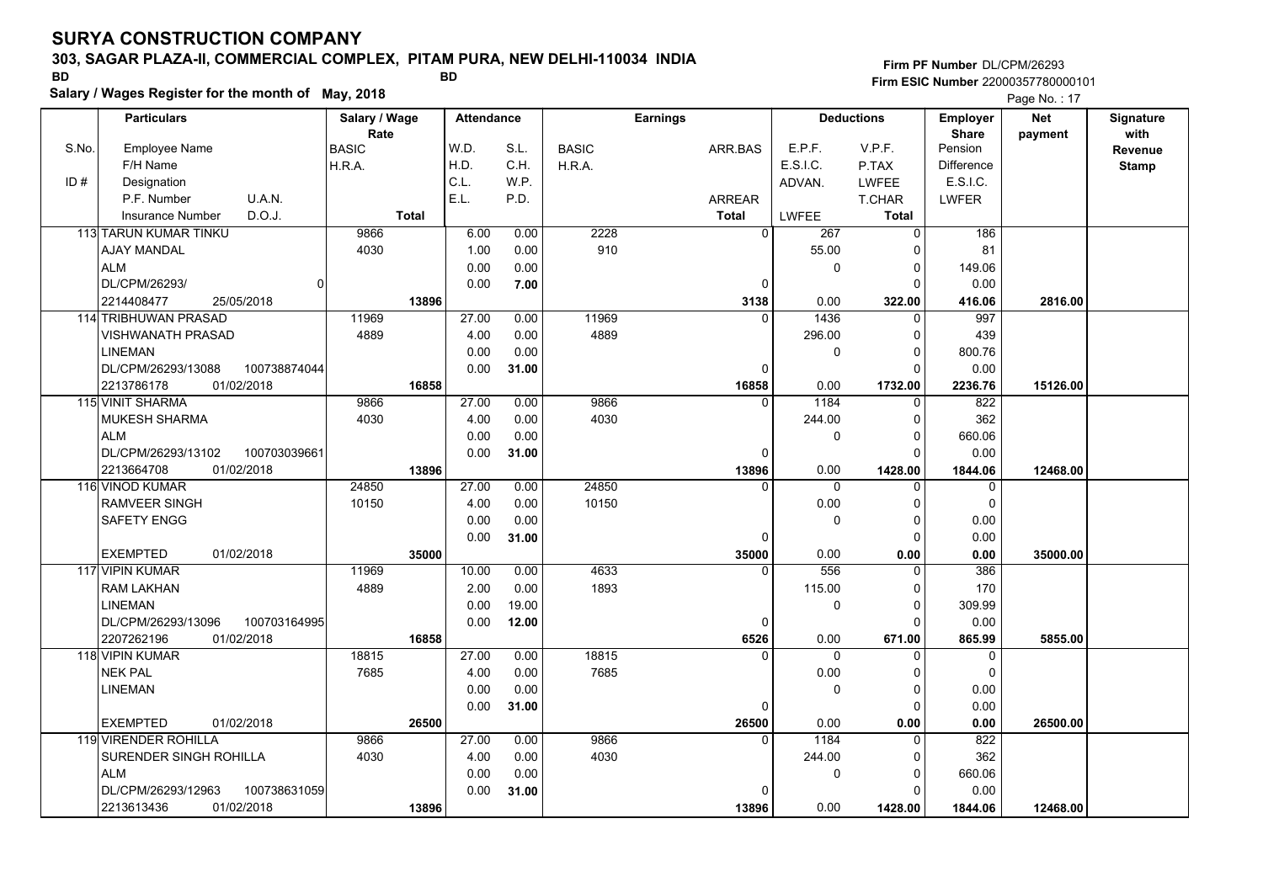## **303, SAGAR PLAZA-II, COMMERCIAL COMPLEX, PITAM PURA, NEW DELHI-110034 INDIA**

**Firm PF Number**DL/CPM/26293**Firm ESIC Number** 22000357780000101

**Salary / Wages Register for the month of May, 2018 BD BD**

|       | Salary / Wages Register for the month of May, 2018 |               |                   |       | Page No.: 17 |                 |              |                   |                 |            |              |
|-------|----------------------------------------------------|---------------|-------------------|-------|--------------|-----------------|--------------|-------------------|-----------------|------------|--------------|
|       | <b>Particulars</b>                                 | Salary / Wage | <b>Attendance</b> |       |              | <b>Earnings</b> |              | <b>Deductions</b> | <b>Employer</b> | <b>Net</b> | Signature    |
|       |                                                    | Rate          |                   |       |              |                 |              |                   | <b>Share</b>    | payment    | with         |
| S.No. | <b>Employee Name</b>                               | <b>BASIC</b>  | W.D.              | S.L.  | <b>BASIC</b> | ARR.BAS         | E.P.F.       | V.P.F.            | Pension         |            | Revenue      |
|       | F/H Name                                           | H.R.A.        | H.D.              | C.H.  | H.R.A.       |                 | E.S.I.C.     | P.TAX             | Difference      |            | <b>Stamp</b> |
| ID#   | Designation                                        |               | C.L.              | W.P.  |              |                 | ADVAN.       | <b>LWFEE</b>      | E.S.I.C.        |            |              |
|       | P.F. Number<br>U.A.N.                              |               | E.L.              | P.D.  |              | <b>ARREAR</b>   |              | <b>T.CHAR</b>     | <b>LWFER</b>    |            |              |
|       | D.O.J.<br><b>Insurance Number</b>                  | Total         |                   |       |              | <b>Total</b>    | <b>LWFEE</b> | <b>Total</b>      |                 |            |              |
|       | <b>113 TARUN KUMAR TINKU</b>                       | 9866          | 6.00              | 0.00  | 2228         | $\Omega$        | 267          | $\mathbf 0$       | 186             |            |              |
|       | AJAY MANDAL                                        | 4030          | 1.00              | 0.00  | 910          |                 | 55.00        | $\Omega$          | 81              |            |              |
|       | <b>ALM</b>                                         |               | 0.00              | 0.00  |              |                 | 0            | 0                 | 149.06          |            |              |
|       | DL/CPM/26293/<br>$\overline{0}$                    |               | 0.00              | 7.00  |              | $\mathbf 0$     |              | $\Omega$          | 0.00            |            |              |
|       | 2214408477<br>25/05/2018                           | 13896         |                   |       |              | 3138            | 0.00         | 322.00            | 416.06          | 2816.00    |              |
|       | 114 TRIBHUWAN PRASAD                               | 11969         | 27.00             | 0.00  | 11969        | $\Omega$        | 1436         | $\Omega$          | 997             |            |              |
|       | <b>VISHWANATH PRASAD</b>                           | 4889          | 4.00              | 0.00  | 4889         |                 | 296.00       | 0                 | 439             |            |              |
|       | <b>LINEMAN</b>                                     |               | 0.00              | 0.00  |              |                 | 0            | $\Omega$          | 800.76          |            |              |
|       | DL/CPM/26293/13088<br>100738874044                 |               | 0.00              | 31.00 |              | 0               |              | $\Omega$          | 0.00            |            |              |
|       | 2213786178<br>01/02/2018                           | 16858         |                   |       |              | 16858           | 0.00         | 1732.00           | 2236.76         | 15126.00   |              |
|       | 115 VINIT SHARMA                                   | 9866          | 27.00             | 0.00  | 9866         | 0               | 1184         | 0                 | 822             |            |              |
|       | <b>MUKESH SHARMA</b>                               | 4030          | 4.00              | 0.00  | 4030         |                 | 244.00       | $\mathbf 0$       | 362             |            |              |
|       | <b>ALM</b>                                         |               | 0.00              | 0.00  |              |                 | $\mathbf{0}$ | $\mathbf 0$       | 660.06          |            |              |
|       | DL/CPM/26293/13102<br>100703039661                 |               | 0.00              | 31.00 |              | 0               |              | $\Omega$          | 0.00            |            |              |
|       | 2213664708<br>01/02/2018                           | 13896         |                   |       |              | 13896           | 0.00         | 1428.00           | 1844.06         | 12468.00   |              |
|       | <b>116 VINOD KUMAR</b>                             | 24850         | 27.00             | 0.00  | 24850        | $\Omega$        | $\mathbf 0$  | $\Omega$          | 0               |            |              |
|       | <b>RAMVEER SINGH</b>                               | 10150         | 4.00              | 0.00  | 10150        |                 | 0.00         | $\Omega$          | $\mathbf 0$     |            |              |
|       | SAFETY ENGG                                        |               | 0.00              | 0.00  |              |                 | $\mathbf 0$  | 0                 | 0.00            |            |              |
|       |                                                    |               | 0.00              | 31.00 |              | 0               |              | 0                 | 0.00            |            |              |
|       | <b>EXEMPTED</b><br>01/02/2018                      | 35000         |                   |       |              | 35000           | 0.00         | 0.00              | 0.00            | 35000.00   |              |
|       | 117 VIPIN KUMAR                                    | 11969         | 10.00             | 0.00  | 4633         | <sup>0</sup>    | 556          | $\Omega$          | 386             |            |              |
|       | <b>RAM LAKHAN</b>                                  | 4889          | 2.00              | 0.00  | 1893         |                 | 115.00       | $\mathbf 0$       | 170             |            |              |
|       | <b>LINEMAN</b>                                     |               | 0.00              | 19.00 |              |                 | $\mathbf 0$  | $\mathbf 0$       | 309.99          |            |              |
|       | DL/CPM/26293/13096<br>100703164995                 |               | 0.00              | 12.00 |              | 0               |              | $\Omega$          | 0.00            |            |              |
|       | 2207262196<br>01/02/2018                           | 16858         |                   |       |              | 6526            | 0.00         | 671.00            | 865.99          | 5855.00    |              |
|       | 118 VIPIN KUMAR                                    | 18815         | 27.00             | 0.00  | 18815        | $\Omega$        | $\mathbf{0}$ | $\Omega$          | $\mathbf 0$     |            |              |
|       | <b>NEK PAL</b>                                     | 7685          | 4.00              | 0.00  | 7685         |                 | 0.00         | $\Omega$          | $\Omega$        |            |              |
|       | <b>LINEMAN</b>                                     |               | 0.00              | 0.00  |              |                 | $\mathbf 0$  | 0                 | 0.00            |            |              |
|       |                                                    |               | 0.00              | 31.00 |              | 0               |              | $\Omega$          | 0.00            |            |              |
|       | <b>EXEMPTED</b><br>01/02/2018                      | 26500         |                   |       |              | 26500           | 0.00         | 0.00              | 0.00            | 26500.00   |              |
|       | 119 VIRENDER ROHILLA                               | 9866          | 27.00             | 0.00  | 9866         | $\Omega$        | 1184         | $\Omega$          | 822             |            |              |
|       | SURENDER SINGH ROHILLA                             | 4030          | 4.00              | 0.00  | 4030         |                 | 244.00       | 0                 | 362             |            |              |
|       | <b>ALM</b>                                         |               | 0.00              | 0.00  |              |                 | $\mathbf 0$  | 0                 | 660.06          |            |              |
|       | DL/CPM/26293/12963<br>100738631059                 |               | 0.00              | 31.00 |              | $\Omega$        |              | $\Omega$          | 0.00            |            |              |
|       | 2213613436<br>01/02/2018                           | 13896         |                   |       |              | 13896           | 0.00         | 1428.00           | 1844.06         | 12468.00   |              |